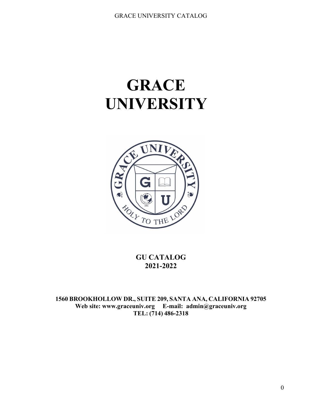# **GRACE UNIVERSITY**



**GU CATALOG 2021-2022**

**1560 BROOKHOLLOW DR., SUITE 209, SANTA ANA, CALIFORNIA 92705 Web site: www.graceuniv.org E-mail: [admin@graceuniv.org](mailto:admin@graceuniv.org) TEL: (714) 486-2318**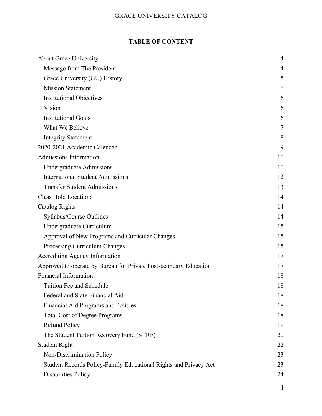### **TABLE OF CONTENT**

| <b>About Grace University</b>                                     | 4  |
|-------------------------------------------------------------------|----|
| Message from The President                                        | 4  |
| Grace University (GU) History                                     | 5  |
| <b>Mission Statement</b>                                          | 6  |
| <b>Institutional Objectives</b>                                   | 6  |
| Vision                                                            | 6  |
| <b>Institutional Goals</b>                                        | 6  |
| What We Believe                                                   | 7  |
| <b>Integrity Statement</b>                                        | 8  |
| 2020-2021 Academic Calendar                                       | 9  |
| Admissions Information                                            | 10 |
| Undergraduate Admissions                                          | 10 |
| <b>International Student Admissions</b>                           | 12 |
| <b>Transfer Student Admissions</b>                                | 13 |
| Class Hold Location:                                              | 14 |
| Catalog Rights                                                    | 14 |
| Syllabus/Course Outlines                                          | 14 |
| Undergraduate Curriculum                                          | 15 |
| Approval of New Programs and Curricular Changes                   | 15 |
| Processing Curriculum Changes                                     | 15 |
| Accrediting Agency Information                                    | 17 |
| Approved to operate by Bureau for Private Postsecondary Education | 17 |
| <b>Financial Information</b>                                      | 18 |
| Tuition Fee and Schedule                                          | 18 |
| Federal and State Financial Aid                                   | 18 |
| Financial Aid Programs and Policies                               | 18 |
| <b>Total Cost of Degree Programs</b>                              | 18 |
| <b>Refund Policy</b>                                              | 19 |
| The Student Tuition Recovery Fund (STRF)                          | 20 |
| <b>Student Right</b>                                              | 22 |
| Non-Discrimination Policy                                         | 23 |
| Student Records Policy-Family Educational Rights and Privacy Act  | 23 |
| <b>Disabilities Policy</b>                                        | 24 |
|                                                                   |    |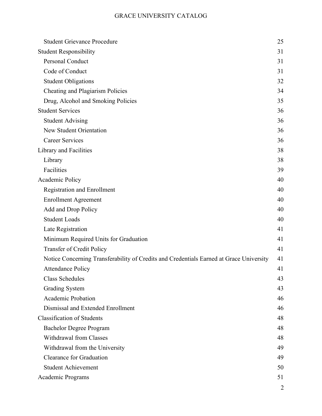| <b>Student Grievance Procedure</b>                                                      | 25 |
|-----------------------------------------------------------------------------------------|----|
| <b>Student Responsibility</b>                                                           | 31 |
| Personal Conduct                                                                        | 31 |
| Code of Conduct                                                                         | 31 |
| <b>Student Obligations</b>                                                              | 32 |
| Cheating and Plagiarism Policies                                                        | 34 |
| Drug, Alcohol and Smoking Policies                                                      | 35 |
| <b>Student Services</b>                                                                 | 36 |
| <b>Student Advising</b>                                                                 | 36 |
| <b>New Student Orientation</b>                                                          | 36 |
| <b>Career Services</b>                                                                  | 36 |
| Library and Facilities                                                                  | 38 |
| Library                                                                                 | 38 |
| Facilities                                                                              | 39 |
| Academic Policy                                                                         | 40 |
| <b>Registration and Enrollment</b>                                                      | 40 |
| <b>Enrollment Agreement</b>                                                             | 40 |
| Add and Drop Policy                                                                     | 40 |
| <b>Student Loads</b>                                                                    | 40 |
| Late Registration                                                                       | 41 |
| Minimum Required Units for Graduation                                                   | 41 |
| Transfer of Credit Policy                                                               | 41 |
| Notice Concerning Transferability of Credits and Credentials Earned at Grace University | 41 |
| <b>Attendance Policy</b>                                                                | 41 |
| <b>Class Schedules</b>                                                                  | 43 |
| <b>Grading System</b>                                                                   | 43 |
| <b>Academic Probation</b>                                                               | 46 |
| Dismissal and Extended Enrollment                                                       | 46 |
| <b>Classification of Students</b>                                                       | 48 |
| <b>Bachelor Degree Program</b>                                                          | 48 |
| <b>Withdrawal from Classes</b>                                                          | 48 |
| Withdrawal from the University                                                          | 49 |
| <b>Clearance for Graduation</b>                                                         | 49 |
| <b>Student Achievement</b>                                                              | 50 |
| Academic Programs                                                                       | 51 |
|                                                                                         | 2  |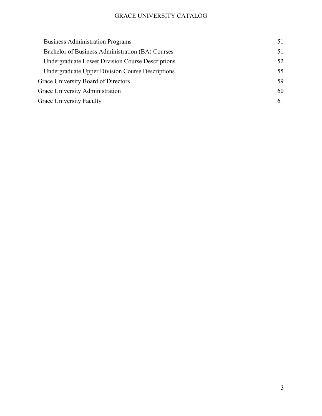| 51 |
|----|
| 51 |
| 52 |
| 55 |
| 59 |
| 60 |
| 61 |
|    |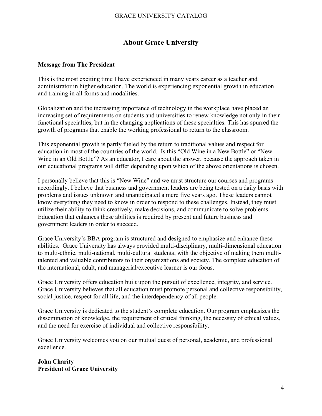### **About Grace University**

### <span id="page-4-1"></span><span id="page-4-0"></span>**Message from The President**

This is the most exciting time I have experienced in many years career as a teacher and administrator in higher education. The world is experiencing exponential growth in education and training in all forms and modalities.

Globalization and the increasing importance of technology in the workplace have placed an increasing set of requirements on students and universities to renew knowledge not only in their functional specialties, but in the changing applications of these specialties. This has spurred the growth of programs that enable the working professional to return to the classroom.

This exponential growth is partly fueled by the return to traditional values and respect for education in most of the countries of the world. Is this "Old Wine in a New Bottle" or "New Wine in an Old Bottle"? As an educator, I care about the answer, because the approach taken in our educational programs will differ depending upon which of the above orientations is chosen.

I personally believe that this is "New Wine" and we must structure our courses and programs accordingly. I believe that business and government leaders are being tested on a daily basis with problems and issues unknown and unanticipated a mere five years ago. These leaders cannot know everything they need to know in order to respond to these challenges. Instead, they must utilize their ability to think creatively, make decisions, and communicate to solve problems. Education that enhances these abilities is required by present and future business and government leaders in order to succeed.

Grace University's BBA program is structured and designed to emphasize and enhance these abilities. Grace University has always provided multi-disciplinary, multi-dimensional education to multi-ethnic, multi-national, multi-cultural students, with the objective of making them multitalented and valuable contributors to their organizations and society. The complete education of the international, adult, and managerial/executive learner is our focus.

Grace University offers education built upon the pursuit of excellence, integrity, and service. Grace University believes that all education must promote personal and collective responsibility, social justice, respect for all life, and the interdependency of all people.

Grace University is dedicated to the student's complete education. Our program emphasizes the dissemination of knowledge, the requirement of critical thinking, the necessity of ethical values, and the need for exercise of individual and collective responsibility.

Grace University welcomes you on our mutual quest of personal, academic, and professional excellence.

**John Charity President of Grace University**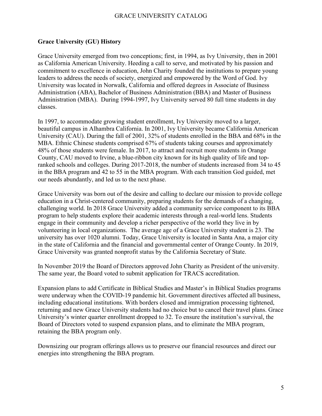### <span id="page-5-0"></span>**Grace University (GU) History**

Grace University emerged from two conceptions; first, in 1994, as Ivy University, then in 2001 as California American University. Heeding a call to serve, and motivated by his passion and commitment to excellence in education, John Charity founded the institutions to prepare young leaders to address the needs of society, energized and empowered by the Word of God. Ivy University was located in Norwalk, California and offered degrees in Associate of Business Administration (ABA), Bachelor of Business Administration (BBA) and Master of Business Administration (MBA). During 1994-1997, Ivy University served 80 full time students in day classes.

In 1997, to accommodate growing student enrollment, Ivy University moved to a larger, beautiful campus in Alhambra California. In 2001, Ivy University became California American University (CAU). During the fall of 2001, 32% of students enrolled in the BBA and 68% in the MBA. Ethnic Chinese students comprised 67% of students taking courses and approximately 48% of those students were female. In 2017, to attract and recruit more students in Orange County, CAU moved to Irvine, a blue-ribbon city known for its high quality of life and topranked schools and colleges. During 2017-2018, the number of students increased from 34 to 45 in the BBA program and 42 to 55 in the MBA program. With each transition God guided, met our needs abundantly, and led us to the next phase.

Grace University was born out of the desire and calling to declare our mission to provide college education in a Christ-centered community, preparing students for the demands of a changing, challenging world. In 2018 Grace University added a community service component to its BBA program to help students explore their academic interests through a real-world lens. Students engage in their community and develop a richer perspective of the world they live in by volunteering in local organizations. The average age of a Grace University student is 23. The university has over 1020 alumni. Today, Grace University is located in Santa Ana, a major city in the state of California and the financial and governmental center of Orange County. In 2019, Grace University was granted nonprofit status by the California Secretary of State.

In November 2019 the Board of Directors approved John Charity as President of the university. The same year, the Board voted to submit application for TRACS accreditation.

Expansion plans to add Certificate in Biblical Studies and Master's in Biblical Studies programs were underway when the COVID-19 pandemic hit. Government directives affected all business, including educational institutions. With borders closed and immigration processing tightened, returning and new Grace University students had no choice but to cancel their travel plans. Grace University's winter quarter enrollment dropped to 32. To ensure the institution's survival, the Board of Directors voted to suspend expansion plans, and to eliminate the MBA program, retaining the BBA program only.

Downsizing our program offerings allows us to preserve our financial resources and direct our energies into strengthening the BBA program.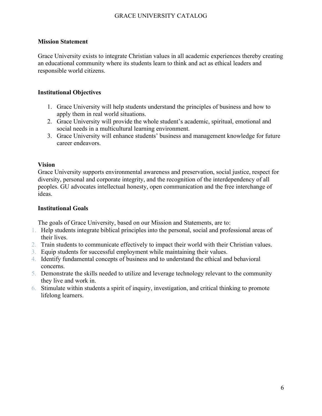### <span id="page-6-0"></span>**Mission Statement**

Grace University exists to integrate Christian values in all academic experiences thereby creating an educational community where its students learn to think and act as ethical leaders and responsible world citizens.

### <span id="page-6-1"></span>**Institutional Objectives**

- 1. Grace University will help students understand the principles of business and how to apply them in real world situations.
- 2. Grace University will provide the whole student's academic, spiritual, emotional and social needs in a multicultural learning environment.
- 3. Grace University will enhance students' business and management knowledge for future career endeavors.

### <span id="page-6-2"></span>**Vision**

Grace University supports environmental awareness and preservation, social justice, respect for diversity, personal and corporate integrity, and the recognition of the interdependency of all peoples. GU advocates intellectual honesty, open communication and the free interchange of ideas.

### <span id="page-6-3"></span>**Institutional Goals**

The goals of Grace University, based on our Mission and Statements, are to:

- 1. Help students integrate biblical principles into the personal, social and professional areas of their lives.
- 2. Train students to communicate effectively to impact their world with their Christian values.
- 3. Equip students for successful employment while maintaining their values.
- 4. Identify fundamental concepts of business and to understand the ethical and behavioral concerns.
- 5. Demonstrate the skills needed to utilize and leverage technology relevant to the community they live and work in.
- 6. Stimulate within students a spirit of inquiry, investigation, and critical thinking to promote lifelong learners.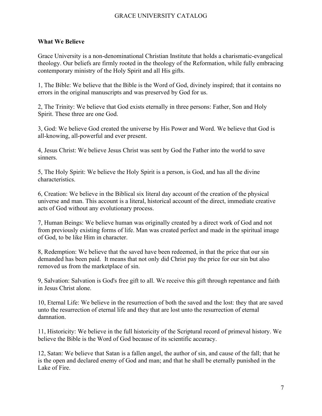### <span id="page-7-0"></span>**What We Believe**

Grace University is a non-denominational Christian Institute that holds a charismatic-evangelical theology. Our beliefs are firmly rooted in the theology of the Reformation, while fully embracing contemporary ministry of the Holy Spirit and all His gifts.

1, The Bible: We believe that the Bible is the Word of God, divinely inspired; that it contains no errors in the original manuscripts and was preserved by God for us.

2, The Trinity: We believe that God exists eternally in three persons: Father, Son and Holy Spirit. These three are one God.

3, God: We believe God created the universe by His Power and Word. We believe that God is all-knowing, all-powerful and ever present.

4, Jesus Christ: We believe Jesus Christ was sent by God the Father into the world to save sinners.

5, The Holy Spirit: We believe the Holy Spirit is a person, is God, and has all the divine characteristics.

6, Creation: We believe in the Biblical six literal day account of the creation of the physical universe and man. This account is a literal, historical account of the direct, immediate creative acts of God without any evolutionary process.

7, Human Beings: We believe human was originally created by a direct work of God and not from previously existing forms of life. Man was created perfect and made in the spiritual image of God, to be like Him in character.

8, Redemption: We believe that the saved have been redeemed, in that the price that our sin demanded has been paid. It means that not only did Christ pay the price for our sin but also removed us from the marketplace of sin.

9, Salvation: Salvation is God's free gift to all. We receive this gift through repentance and faith in Jesus Christ alone.

10, Eternal Life: We believe in the resurrection of both the saved and the lost: they that are saved unto the resurrection of eternal life and they that are lost unto the resurrection of eternal damnation.

11, Historicity: We believe in the full historicity of the Scriptural record of primeval history. We believe the Bible is the Word of God because of its scientific accuracy.

12, Satan: We believe that Satan is a fallen angel, the author of sin, and cause of the fall; that he is the open and declared enemy of God and man; and that he shall be eternally punished in the Lake of Fire.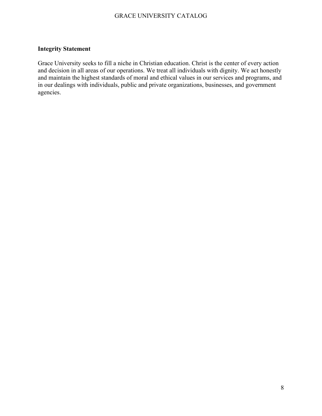### <span id="page-8-0"></span>**Integrity Statement**

Grace University seeks to fill a niche in Christian education. Christ is the center of every action and decision in all areas of our operations. We treat all individuals with dignity. We act honestly and maintain the highest standards of moral and ethical values in our services and programs, and in our dealings with individuals, public and private organizations, businesses, and government agencies.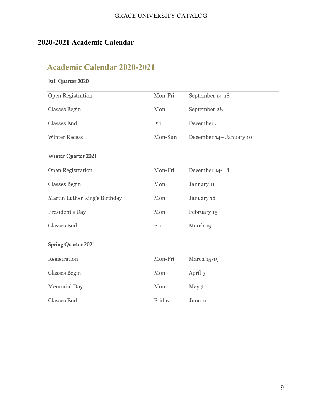## <span id="page-9-0"></span>**2020-2021 Academic Calendar**

# **Academic Calendar 2020-2021**

### Fall Quarter 2020

| Open Registration             | Mon-Fri | September 14-18         |
|-------------------------------|---------|-------------------------|
| Classes Begin                 | Mon     | September 28            |
| <b>Classes End</b>            | Fri     | December 4              |
| <b>Winter Recess</b>          | Mon-Sun | December 14- January 10 |
| <b>Winter Quarter 2021</b>    |         |                         |
| Open Registration             | Mon-Fri | December 14-18          |
| <b>Classes Begin</b>          | Mon     | January 11              |
| Martin Luther King's Birthday | Mon     | January 18              |
| President's Day               | Mon     | February 15             |
| <b>Classes End</b>            | Fri     | March 19                |
| <b>Spring Quarter 2021</b>    |         |                         |
| Registration                  | Mon-Fri | March 15-19             |
| <b>Classes Begin</b>          | Mon     | April 5                 |
| Memorial Day                  | Mon     | May 31                  |
| <b>Classes End</b>            | Friday  | June 11                 |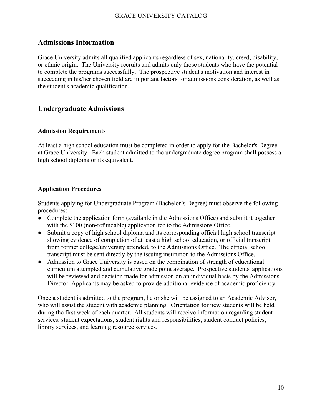### <span id="page-10-0"></span>**Admissions Information**

Grace University admits all qualified applicants regardless of sex, nationality, creed, disability, or ethnic origin. The University recruits and admits only those students who have the potential to complete the programs successfully. The prospective student's motivation and interest in succeeding in his/her chosen field are important factors for admissions consideration, as well as the student's academic qualification.

### <span id="page-10-1"></span>**Undergraduate Admissions**

### **Admission Requirements**

At least a high school education must be completed in order to apply for the Bachelor's Degree at Grace University. Each student admitted to the undergraduate degree program shall possess a high school diploma or its equivalent.

### **Application Procedures**

Students applying for Undergraduate Program (Bachelor's Degree) must observe the following procedures:

- Complete the application form (available in the Admissions Office) and submit it together with the \$100 (non-refundable) application fee to the Admissions Office.
- Submit a copy of high school diploma and its corresponding official high school transcript showing evidence of completion of at least a high school education, or official transcript from former college/university attended, to the Admissions Office. The official school transcript must be sent directly by the issuing institution to the Admissions Office.
- Admission to Grace University is based on the combination of strength of educational curriculum attempted and cumulative grade point average. Prospective students' applications will be reviewed and decision made for admission on an individual basis by the Admissions Director. Applicants may be asked to provide additional evidence of academic proficiency.

Once a student is admitted to the program, he or she will be assigned to an Academic Advisor, who will assist the student with academic planning. Orientation for new students will be held during the first week of each quarter. All students will receive information regarding student services, student expectations, student rights and responsibilities, student conduct policies, library services, and learning resource services.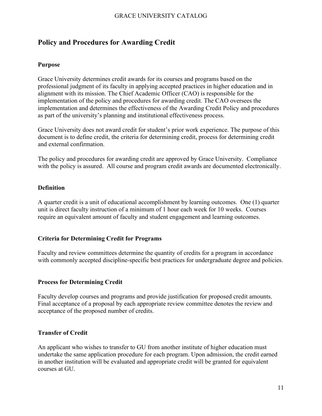### **Policy and Procedures for Awarding Credit**

#### **Purpose**

Grace University determines credit awards for its courses and programs based on the professional judgment of its faculty in applying accepted practices in higher education and in alignment with its mission. The Chief Academic Officer (CAO) is responsible for the implementation of the policy and procedures for awarding credit. The CAO oversees the implementation and determines the effectiveness of the Awarding Credit Policy and procedures as part of the university's planning and institutional effectiveness process.

Grace University does not award credit for student's prior work experience. The purpose of this document is to define credit, the criteria for determining credit, process for determining credit and external confirmation.

The policy and procedures for awarding credit are approved by Grace University. Compliance with the policy is assured. All course and program credit awards are documented electronically.

#### **Definition**

A quarter credit is a unit of educational accomplishment by learning outcomes. One (1) quarter unit is direct faculty instruction of a minimum of 1 hour each week for 10 weeks. Courses require an equivalent amount of faculty and student engagement and learning outcomes.

### **Criteria for Determining Credit for Programs**

Faculty and review committees determine the quantity of credits for a program in accordance with commonly accepted discipline-specific best practices for undergraduate degree and policies.

#### **Process for Determining Credit**

Faculty develop courses and programs and provide justification for proposed credit amounts. Final acceptance of a proposal by each appropriate review committee denotes the review and acceptance of the proposed number of credits.

### **Transfer of Credit**

An applicant who wishes to transfer to GU from another institute of higher education must undertake the same application procedure for each program. Upon admission, the credit earned in another institution will be evaluated and appropriate credit will be granted for equivalent courses at GU.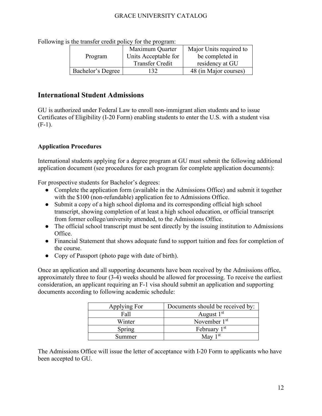|                   | Maximum Quarter        | Major Units required to |
|-------------------|------------------------|-------------------------|
| Program           | Units Acceptable for   | be completed in         |
|                   | <b>Transfer Credit</b> | residency at GU         |
| Bachelor's Degree | 32                     | 48 (in Major courses)   |

Following is the transfer credit policy for the program:

### <span id="page-12-0"></span>**International Student Admissions**

GU is authorized under Federal Law to enroll non-immigrant alien students and to issue Certificates of Eligibility (I-20 Form) enabling students to enter the U.S. with a student visa  $(F-1)$ .

### **Application Procedures**

International students applying for a degree program at GU must submit the following additional application document (see procedures for each program for complete application documents):

For prospective students for Bachelor's degrees:

- Complete the application form (available in the Admissions Office) and submit it together with the \$100 (non-refundable) application fee to Admissions Office.
- Submit a copy of a high school diploma and its corresponding official high school transcript, showing completion of at least a high school education, or official transcript from former college/university attended, to the Admissions Office.
- The official school transcript must be sent directly by the issuing institution to Admissions Office.
- Financial Statement that shows adequate fund to support tuition and fees for completion of the course.
- Copy of Passport (photo page with date of birth).

Once an application and all supporting documents have been received by the Admissions office, approximately three to four (3-4) weeks should be allowed for processing. To receive the earliest consideration, an applicant requiring an F-1 visa should submit an application and supporting documents according to following academic schedule:

| Applying For | Documents should be received by: |  |  |  |
|--------------|----------------------------------|--|--|--|
| Fall         | August $1st$                     |  |  |  |
| Winter       | November $1st$                   |  |  |  |
| Spring       | February 1 <sup>st</sup>         |  |  |  |
| Summer       | May $1st$                        |  |  |  |

The Admissions Office will issue the letter of acceptance with I-20 Form to applicants who have been accepted to GU.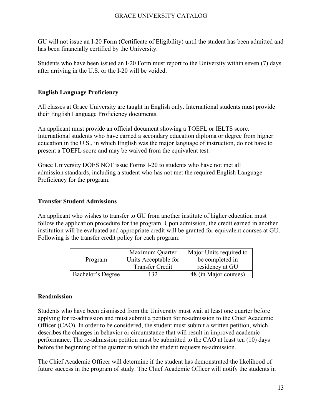GU will not issue an I-20 Form (Certificate of Eligibility) until the student has been admitted and has been financially certified by the University.

Students who have been issued an I-20 Form must report to the University within seven (7) days after arriving in the U.S. or the I-20 will be voided.

### **English Language Proficiency**

All classes at Grace University are taught in English only. International students must provide their English Language Proficiency documents.

An applicant must provide an official document showing a TOEFL or IELTS score. International students who have earned a secondary education diploma or degree from higher education in the U.S., in which English was the major language of instruction, do not have to present a TOEFL score and may be waived from the equivalent test.

Grace University DOES NOT issue Forms I-20 to students who have not met all admission standards, including a student who has not met the required English Language Proficiency for the program.

### <span id="page-13-0"></span>**Transfer Student Admissions**

An applicant who wishes to transfer to GU from another institute of higher education must follow the application procedure for the program. Upon admission, the credit earned in another institution will be evaluated and appropriate credit will be granted for equivalent courses at GU. Following is the transfer credit policy for each program:

|                   | Maximum Quarter        | Major Units required to |
|-------------------|------------------------|-------------------------|
| Program           | Units Acceptable for   | be completed in         |
|                   | <b>Transfer Credit</b> | residency at GU         |
| Bachelor's Degree | 132.                   | 48 (in Major courses)   |

### **Readmission**

Students who have been dismissed from the University must wait at least one quarter before applying for re-admission and must submit a petition for re-admission to the Chief Academic Officer (CAO). In order to be considered, the student must submit a written petition, which describes the changes in behavior or circumstance that will result in improved academic performance. The re-admission petition must be submitted to the CAO at least ten (10) days before the beginning of the quarter in which the student requests re-admission.

The Chief Academic Officer will determine if the student has demonstrated the likelihood of future success in the program of study. The Chief Academic Officer will notify the students in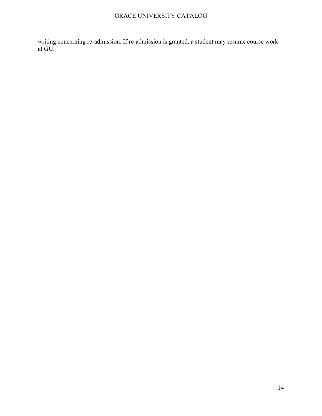writing concerning re-admission. If re-admission is granted, a student may resume course work at GU.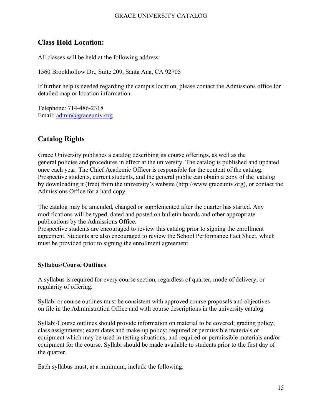### <span id="page-15-0"></span>**Class Hold Location:**

All classes will be held at the following address:

1560 Brookhollow Dr., Suite 209, Santa Ana, CA 92705

If further help is needed regarding the campus location, please contact the Admissions office for detailed map or location information.

Telephone: 714-486-2318 Email: [admin@graceuniv.org](mailto:admin@graceuniv.org)

### <span id="page-15-1"></span>**Catalog Rights**

Grace University publishes a catalog describing its course offerings, as well as the general policies and procedures in effect at the university. The catalog is published and updated once each year. The Chief Academic Officer is responsible for the content of the catalog. Prospective students, current students, and the general public can obtain a copy of the catalog by downloading it (free) from the university's website (http://www.graceuniv.org), or contact the Admissions Office for a hard copy.

The catalog may be amended, changed or supplemented after the quarter has started. Any modifications will be typed, dated and posted on bulletin boards and other appropriate publications by the Admissions Office.

Prospective students are encouraged to review this catalog prior to signing the enrollment agreement. Students are also encouraged to review the School Performance Fact Sheet, which must be provided prior to signing the enrollment agreement.

### <span id="page-15-2"></span>**Syllabus/Course Outlines**

A syllabus is required for every course section, regardless of quarter, mode of delivery, or regularity of offering.

Syllabi or course outlines must be consistent with approved course proposals and objectives on file in the Administration Office and with course descriptions in the university catalog.

Syllabi/Course outlines should provide information on material to be covered; grading policy; class assignments; exam dates and make-up policy; required or permissible materials or equipment which may be used in testing situations; and required or permissible materials and/or equipment for the course. Syllabi should be made available to students prior to the first day of the quarter.

Each syllabus must, at a minimum, include the following: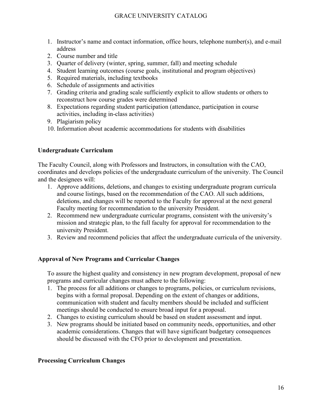- 1. Instructor's name and contact information, office hours, telephone number(s), and e-mail address
- 2. Course number and title
- 3. Quarter of delivery (winter, spring, summer, fall) and meeting schedule
- 4. Student learning outcomes (course goals, institutional and program objectives)
- 5. Required materials, including textbooks
- 6. Schedule of assignments and activities
- 7. Grading criteria and grading scale sufficiently explicit to allow students or others to reconstruct how course grades were determined
- 8. Expectations regarding student participation (attendance, participation in course activities, including in-class activities)
- 9. Plagiarism policy
- 10. Information about academic accommodations for students with disabilities

### <span id="page-16-0"></span>**Undergraduate Curriculum**

The Faculty Council, along with Professors and Instructors, in consultation with the CAO, coordinates and develops policies of the undergraduate curriculum of the university. The Council and the designees will:

- 1. Approve additions, deletions, and changes to existing undergraduate program curricula and course listings, based on the recommendation of the CAO. All such additions, deletions, and changes will be reported to the Faculty for approval at the next general Faculty meeting for recommendation to the university President.
- 2. Recommend new undergraduate curricular programs, consistent with the university's mission and strategic plan, to the full faculty for approval for recommendation to the university President.
- 3. Review and recommend policies that affect the undergraduate curricula of the university.

### <span id="page-16-1"></span>**Approval of New Programs and Curricular Changes**

To assure the highest quality and consistency in new program development, proposal of new programs and curricular changes must adhere to the following:

- 1. The process for all additions or changes to programs, policies, or curriculum revisions, begins with a formal proposal. Depending on the extent of changes or additions, communication with student and faculty members should be included and sufficient meetings should be conducted to ensure broad input for a proposal.
- 2. Changes to existing curriculum should be based on student assessment and input.
- 3. New programs should be initiated based on community needs, opportunities, and other academic considerations. Changes that will have significant budgetary consequences should be discussed with the CFO prior to development and presentation.

### <span id="page-16-2"></span>**Processing Curriculum Changes**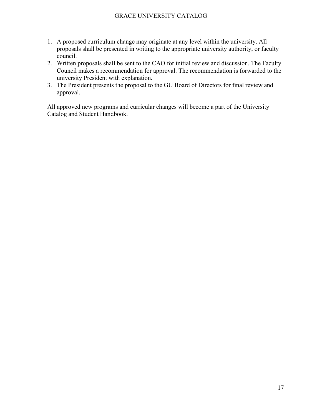- 1. A proposed curriculum change may originate at any level within the university. All proposals shall be presented in writing to the appropriate university authority, or faculty council.
- 2. Written proposals shall be sent to the CAO for initial review and discussion. The Faculty Council makes a recommendation for approval. The recommendation is forwarded to the university President with explanation.
- 3. The President presents the proposal to the GU Board of Directors for final review and approval.

All approved new programs and curricular changes will become a part of the University Catalog and Student Handbook.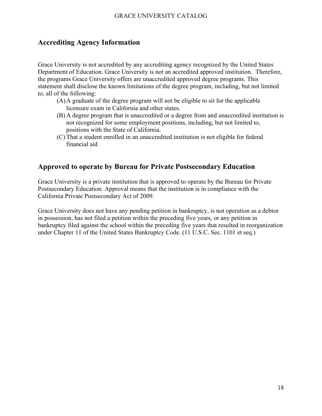### <span id="page-18-0"></span>**Accrediting Agency Information**

Grace University is not accredited by any accrediting agency recognized by the United States Department of Education. Grace University is not an accredited approved institution. Therefore, the programs Grace University offers are unaccredited approved degree programs. This statement shall disclose the known limitations of the degree program, including, but not limited to, all of the following:

- (A)A graduate of the degree program will not be eligible to sit for the applicable licensure exam in California and other states.
- (B) A degree program that is unaccredited or a degree from and unaccredited institution is not recognized for some employment positions, including, but not limited to, positions with the State of California.
- (C) That a student enrolled in an unaccredited institution is not eligible for federal financial aid

### <span id="page-18-1"></span>**Approved to operate by Bureau for Private Postsecondary Education**

Grace University is a private institution that is approved to operate by the Bureau for Private Postsecondary Education. Approval means that the institution is in compliance with the California Private Postsecondary Act of 2009.

Grace University does not have any pending petition in bankruptcy, is not operation as a debtor in possession, has not filed a petition within the preceding five years, or any petition in bankruptcy filed against the school within the preceding five years that resulted in reorganization under Chapter 11 of the United States Bankruptcy Code. (11 U.S.C. Sec. 1101 et seq.)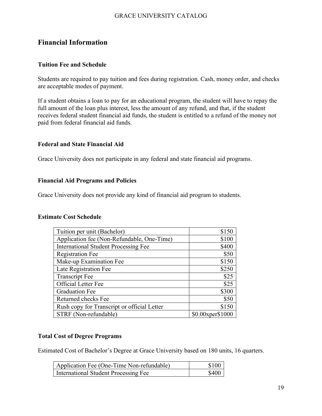### <span id="page-19-0"></span>**Financial Information**

### <span id="page-19-1"></span>**Tuition Fee and Schedule**

Students are required to pay tuition and fees during registration. Cash, money order, and checks are acceptable modes of payment.

If a student obtains a loan to pay for an educational program, the student will have to repay the full amount of the loan plus interest, less the amount of any refund, and that, if the student receives federal student financial aid funds, the student is entitled to a refund of the money not paid from federal financial aid funds.

### <span id="page-19-2"></span>**Federal and State Financial Aid**

Grace University does not participate in any federal and state financial aid programs.

### <span id="page-19-3"></span>**Financial Aid Programs and Policies**

Grace University does not provide any kind of financial aid program to students.

### **Estimate Cost Schedule**

| Tuition per unit (Bachelor)                 | \$150            |
|---------------------------------------------|------------------|
| Application fee (Non-Refundable, One-Time)  | \$100            |
| <b>International Student Processing Fee</b> | \$400            |
| <b>Registration Fee</b>                     | \$50             |
| Make-up Examination Fee                     | \$150            |
| Late Registration Fee                       | \$250            |
| <b>Transcript Fee</b>                       | \$25             |
| Official Letter Fee                         | \$25             |
| <b>Graduation Fee</b>                       | \$300            |
| Returned checks Fee                         | \$50             |
| Rush copy for Transcript or official Letter | \$150            |
| STRF (Non-refundable)                       | \$0.00xper\$1000 |

### <span id="page-19-4"></span>**Total Cost of Degree Programs**

Estimated Cost of Bachelor's Degree at Grace University based on 180 units, 16 quarters.

| Application Fee (One-Time Non-refundable) | \$100 |
|-------------------------------------------|-------|
| International Student Processing Fee      | \$400 |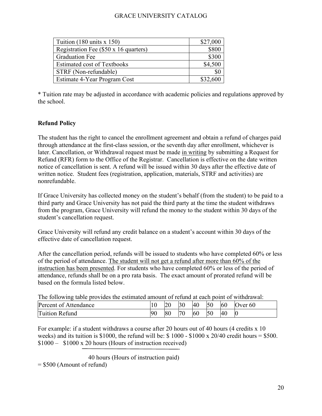| Tuition $(180 \text{ units} \times 150)$ | \$27,000 |
|------------------------------------------|----------|
| Registration Fee (\$50 x 16 quarters)    | \$800    |
| <b>Graduation Fee</b>                    | \$300    |
| <b>Estimated cost of Textbooks</b>       | \$4,500  |
| STRF (Non-refundable)                    |          |
| Estimate 4-Year Program Cost             | \$32,600 |

\* Tuition rate may be adjusted in accordance with academic policies and regulations approved by the school.

### <span id="page-20-0"></span>**Refund Policy**

The student has the right to cancel the enrollment agreement and obtain a refund of charges paid through attendance at the first-class session, or the seventh day after enrollment, whichever is later. Cancellation, or Withdrawal request must be made in writing by submitting a Request for Refund (RFR) form to the Office of the Registrar. Cancellation is effective on the date written notice of cancellation is sent. A refund will be issued within 30 days after the effective date of written notice. Student fees (registration, application, materials, STRF and activities) are nonrefundable.

If Grace University has collected money on the student's behalf (from the student) to be paid to a third party and Grace University has not paid the third party at the time the student withdraws from the program, Grace University will refund the money to the student within 30 days of the student's cancellation request.

Grace University will refund any credit balance on a student's account within 30 days of the effective date of cancellation request.

After the cancellation period, refunds will be issued to students who have completed 60% or less of the period of attendance. The student will not get a refund after more than 60% of the instruction has been presented. For students who have completed 60% or less of the period of attendance, refunds shall be on a pro rata basis. The exact amount of prorated refund will be based on the formula listed below.

| The following table provides the estimated amount of refund at each point of withdrawal: |  |       |           |           |           |           |                |
|------------------------------------------------------------------------------------------|--|-------|-----------|-----------|-----------|-----------|----------------|
| Percent of Attendance                                                                    |  | 20 30 |           | <b>40</b> | -50       |           | $60$ Over $60$ |
| Tuition Refund                                                                           |  | 80    | <b>70</b> | 60        | <b>50</b> | <b>40</b> |                |

For example: if a student withdraws a course after 20 hours out of 40 hours (4 credits x 10 weeks) and its tuition is \$1000, the refund will be: \$1000 - \$1000 x 20/40 credit hours = \$500. \$1000 – \$1000 x 20 hours (Hours of instruction received)

40 hours (Hours of instruction paid)

= \$500 (Amount of refund)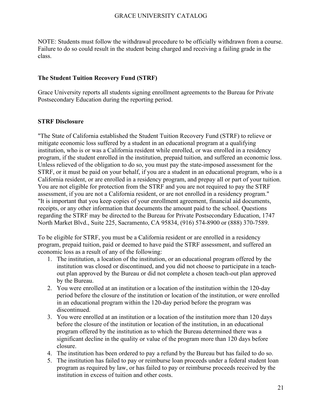NOTE: Students must follow the withdrawal procedure to be officially withdrawn from a course. Failure to do so could result in the student being charged and receiving a failing grade in the class.

### <span id="page-21-0"></span>**The Student Tuition Recovery Fund (STRF)**

Grace University reports all students signing enrollment agreements to the Bureau for Private Postsecondary Education during the reporting period.

### **STRF Disclosure**

"The State of California established the Student Tuition Recovery Fund (STRF) to relieve or mitigate economic loss suffered by a student in an educational program at a qualifying institution, who is or was a California resident while enrolled, or was enrolled in a residency program, if the student enrolled in the institution, prepaid tuition, and suffered an economic loss. Unless relieved of the obligation to do so, you must pay the state-imposed assessment for the STRF, or it must be paid on your behalf, if you are a student in an educational program, who is a California resident, or are enrolled in a residency program, and prepay all or part of your tuition. You are not eligible for protection from the STRF and you are not required to pay the STRF assessment, if you are not a California resident, or are not enrolled in a residency program." "It is important that you keep copies of your enrollment agreement, financial aid documents, receipts, or any other information that documents the amount paid to the school. Questions regarding the STRF may be directed to the Bureau for Private Postsecondary Education, 1747 North Market Blvd., Suite 225, Sacramento, CA 95834, (916) 574-8900 or (888) 370-7589.

To be eligible for STRF, you must be a California resident or are enrolled in a residency program, prepaid tuition, paid or deemed to have paid the STRF assessment, and suffered an economic loss as a result of any of the following:

- 1. The institution, a location of the institution, or an educational program offered by the institution was closed or discontinued, and you did not choose to participate in a teachout plan approved by the Bureau or did not complete a chosen teach-out plan approved by the Bureau.
- 2. You were enrolled at an institution or a location of the institution within the 120-day period before the closure of the institution or location of the institution, or were enrolled in an educational program within the 120-day period before the program was discontinued.
- 3. You were enrolled at an institution or a location of the institution more than 120 days before the closure of the institution or location of the institution, in an educational program offered by the institution as to which the Bureau determined there was a significant decline in the quality or value of the program more than 120 days before closure.
- 4. The institution has been ordered to pay a refund by the Bureau but has failed to do so.
- 5. The institution has failed to pay or reimburse loan proceeds under a federal student loan program as required by law, or has failed to pay or reimburse proceeds received by the institution in excess of tuition and other costs.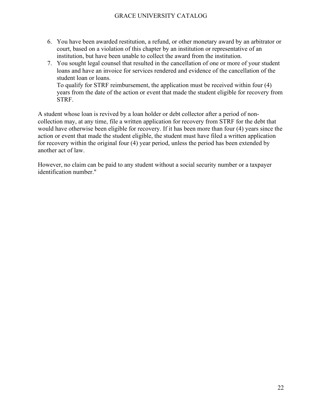- 6. You have been awarded restitution, a refund, or other monetary award by an arbitrator or court, based on a violation of this chapter by an institution or representative of an institution, but have been unable to collect the award from the institution.
- 7. You sought legal counsel that resulted in the cancellation of one or more of your student loans and have an invoice for services rendered and evidence of the cancellation of the student loan or loans. To qualify for STRF reimbursement, the application must be received within four (4)

years from the date of the action or event that made the student eligible for recovery from STRF.

A student whose loan is revived by a loan holder or debt collector after a period of noncollection may, at any time, file a written application for recovery from STRF for the debt that would have otherwise been eligible for recovery. If it has been more than four (4) years since the action or event that made the student eligible, the student must have filed a written application for recovery within the original four (4) year period, unless the period has been extended by another act of law.

However, no claim can be paid to any student without a social security number or a taxpayer identification number."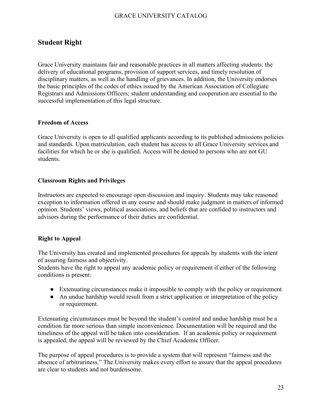### <span id="page-23-0"></span>**Student Right**

Grace University maintains fair and reasonable practices in all matters affecting students: the delivery of educational programs, provision of support services, and timely resolution of disciplinary matters, as well as the handling of grievances. In addition, the University endorses the basic principles of the codes of ethics issued by the American Association of Collegiate Registrars and Admissions Officers; student understanding and cooperation are essential to the successful implementation of this legal structure.

### **Freedom of Access**

Grace University is open to all qualified applicants according to its published admissions policies and standards. Upon matriculation, each student has access to all Grace University services and facilities for which he or she is qualified. Access will be denied to persons who are not GU students.

### **Classroom Rights and Privileges**

Instructors are expected to encourage open discussion and inquiry. Students may take reasoned exception to information offered in any course and should make judgment in matters of informed opinion. Students' views, political associations, and beliefs that are confided to instructors and advisors during the performance of their duties are confidential.

### **Right to Appeal**

The University has created and implemented procedures for appeals by students with the intent of assuring fairness and objectivity.

Students have the right to appeal any academic policy or requirement if either of the following conditions is present:

- Extenuating circumstances make it impossible to comply with the policy or requirement
- An undue hardship would result from a strict application or interpretation of the policy or requirement.

Extenuating circumstances must be beyond the student's control and undue hardship must be a condition far more serious than simple inconvenience. Documentation will be required and the timeliness of the appeal will be taken into consideration. If an academic policy or requirement is appealed, the appeal will be reviewed by the Chief Academic Officer.

The purpose of appeal procedures is to provide a system that will represent "fairness and the absence of arbitrariness." The University makes every effort to assure that the appeal procedures are clear to students and not burdensome.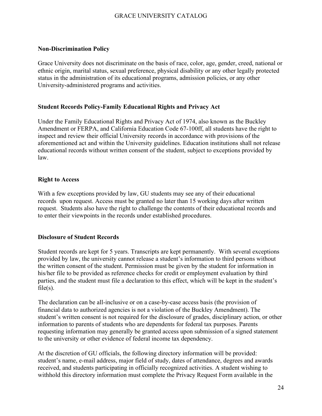### <span id="page-24-0"></span>**Non-Discrimination Policy**

Grace University does not discriminate on the basis of race, color, age, gender, creed, national or ethnic origin, marital status, sexual preference, physical disability or any other legally protected status in the administration of its educational programs, admission policies, or any other University-administered programs and activities.

### <span id="page-24-1"></span>**Student Records Policy-Family Educational Rights and Privacy Act**

Under the Family Educational Rights and Privacy Act of 1974, also known as the Buckley Amendment or FERPA, and California Education Code 67-100ff, all students have the right to inspect and review their official University records in accordance with provisions of the aforementioned act and within the University guidelines. Education institutions shall not release educational records without written consent of the student, subject to exceptions provided by law.

### **Right to Access**

With a few exceptions provided by law, GU students may see any of their educational records upon request. Access must be granted no later than 15 working days after written request. Students also have the right to challenge the contents of their educational records and to enter their viewpoints in the records under established procedures.

### **Disclosure of Student Records**

Student records are kept for 5 years. Transcripts are kept permanently. With several exceptions provided by law, the university cannot release a student's information to third persons without the written consent of the student. Permission must be given by the student for information in his/her file to be provided as reference checks for credit or employment evaluation by third parties, and the student must file a declaration to this effect, which will be kept in the student's  $file(s)$ .

The declaration can be all-inclusive or on a case-by-case access basis (the provision of financial data to authorized agencies is not a violation of the Buckley Amendment). The student's written consent is not required for the disclosure of grades, disciplinary action, or other information to parents of students who are dependents for federal tax purposes. Parents requesting information may generally be granted access upon submission of a signed statement to the university or other evidence of federal income tax dependency.

At the discretion of GU officials, the following directory information will be provided: student's name, e-mail address, major field of study, dates of attendance, degrees and awards received, and students participating in officially recognized activities. A student wishing to withhold this directory information must complete the Privacy Request Form available in the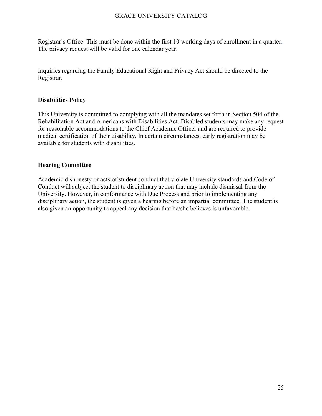Registrar's Office. This must be done within the first 10 working days of enrollment in a quarter. The privacy request will be valid for one calendar year.

Inquiries regarding the Family Educational Right and Privacy Act should be directed to the Registrar.

### <span id="page-25-0"></span>**Disabilities Policy**

This University is committed to complying with all the mandates set forth in Section 504 of the Rehabilitation Act and Americans with Disabilities Act. Disabled students may make any request for reasonable accommodations to the Chief Academic Officer and are required to provide medical certification of their disability. In certain circumstances, early registration may be available for students with disabilities.

### **Hearing Committee**

Academic dishonesty or acts of student conduct that violate University standards and Code of Conduct will subject the student to disciplinary action that may include dismissal from the University. However, in conformance with Due Process and prior to implementing any disciplinary action, the student is given a hearing before an impartial committee. The student is also given an opportunity to appeal any decision that he/she believes is unfavorable.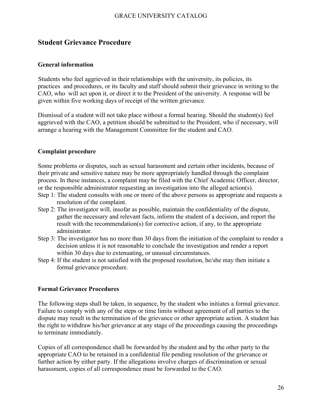### <span id="page-26-0"></span>**Student Grievance Procedure**

#### **General information**

Students who feel aggrieved in their relationships with the university, its policies, its practices and procedures, or its faculty and staff should submit their grievance in writing to the CAO, who will act upon it, or direct it to the President of the university. A response will be given within five working days of receipt of the written grievance.

Dismissal of a student will not take place without a formal hearing. Should the student(s) feel aggrieved with the CAO, a petition should be submitted to the President, who if necessary, will arrange a hearing with the Management Committee for the student and CAO.

#### **Complaint procedure**

Some problems or disputes, such as sexual harassment and certain other incidents, because of their private and sensitive nature may be more appropriately handled through the complaint process. In these instances, a complaint may be filed with the Chief Academic Officer, director, or the responsible administrator requesting an investigation into the alleged action(s).

- Step 1: The student consults with one or more of the above persons as appropriate and requests a resolution of the complaint.
- Step 2: The investigator will, insofar as possible, maintain the confidentiality of the dispute, gather the necessary and relevant facts, inform the student of a decision, and report the result with the recommendation(s) for corrective action, if any, to the appropriate administrator.
- Step 3: The investigator has no more than 30 days from the initiation of the complaint to render a decision unless it is not reasonable to conclude the investigation and render a report within 30 days due to extenuating, or unusual circumstances.
- Step 4: If the student is not satisfied with the proposed resolution, he/she may then initiate a formal grievance procedure.

### **Formal Grievance Procedures**

The following steps shall be taken, in sequence, by the student who initiates a formal grievance. Failure to comply with any of the steps or time limits without agreement of all parties to the dispute may result in the termination of the grievance or other appropriate action. A student has the right to withdraw his/her grievance at any stage of the proceedings causing the proceedings to terminate immediately.

Copies of all correspondence shall be forwarded by the student and by the other party to the appropriate CAO to be retained in a confidential file pending resolution of the grievance or further action by either party. If the allegations involve charges of discrimination or sexual harassment, copies of all correspondence must be forwarded to the CAO.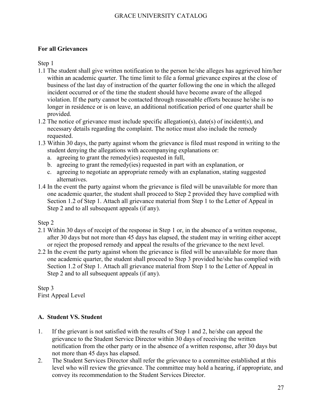### **For all Grievances**

Step 1

- 1.1 The student shall give written notification to the person he/she alleges has aggrieved him/her within an academic quarter. The time limit to file a formal grievance expires at the close of business of the last day of instruction of the quarter following the one in which the alleged incident occurred or of the time the student should have become aware of the alleged violation. If the party cannot be contacted through reasonable efforts because he/she is no longer in residence or is on leave, an additional notification period of one quarter shall be provided.
- 1.2 The notice of grievance must include specific allegation(s), date(s) of incident(s), and necessary details regarding the complaint. The notice must also include the remedy requested.
- 1.3 Within 30 days, the party against whom the grievance is filed must respond in writing to the student denying the allegations with accompanying explanations or:
	- a. agreeing to grant the remedy(ies) requested in full,
	- b. agreeing to grant the remedy(ies) requested in part with an explanation, or
	- c. agreeing to negotiate an appropriate remedy with an explanation, stating suggested alternatives.
- 1.4 In the event the party against whom the grievance is filed will be unavailable for more than one academic quarter, the student shall proceed to Step 2 provided they have complied with Section 1.2 of Step 1. Attach all grievance material from Step 1 to the Letter of Appeal in Step 2 and to all subsequent appeals (if any).

Step 2

- 2.1 Within 30 days of receipt of the response in Step 1 or, in the absence of a written response, after 30 days but not more than 45 days has elapsed, the student may in writing either accept or reject the proposed remedy and appeal the results of the grievance to the next level.
- 2.2 In the event the party against whom the grievance is filed will be unavailable for more than one academic quarter, the student shall proceed to Step 3 provided he/she has complied with Section 1.2 of Step 1. Attach all grievance material from Step 1 to the Letter of Appeal in Step 2 and to all subsequent appeals (if any).

Step 3 First Appeal Level

### **A. Student VS. Student**

- 1. If the grievant is not satisfied with the results of Step 1 and 2, he/she can appeal the grievance to the Student Service Director within 30 days of receiving the written notification from the other party or in the absence of a written response, after 30 days but not more than 45 days has elapsed.
- 2. The Student Services Director shall refer the grievance to a committee established at this level who will review the grievance. The committee may hold a hearing, if appropriate, and convey its recommendation to the Student Services Director.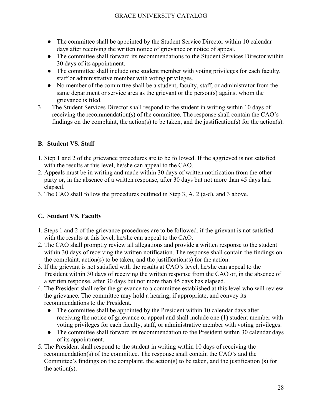- The committee shall be appointed by the Student Service Director within 10 calendar days after receiving the written notice of grievance or notice of appeal.
- The committee shall forward its recommendations to the Student Services Director within 30 days of its appointment.
- The committee shall include one student member with voting privileges for each faculty, staff or administrative member with voting privileges.
- No member of the committee shall be a student, faculty, staff, or administrator from the same department or service area as the grievant or the person(s) against whom the grievance is filed.
- 3. The Student Services Director shall respond to the student in writing within 10 days of receiving the recommendation(s) of the committee. The response shall contain the CAO's findings on the complaint, the action(s) to be taken, and the justification(s) for the action(s).

### **B. Student VS. Staff**

- 1. Step 1 and 2 of the grievance procedures are to be followed. If the aggrieved is not satisfied with the results at this level, he/she can appeal to the CAO.
- 2. Appeals must be in writing and made within 30 days of written notification from the other party or, in the absence of a written response, after 30 days but not more than 45 days had elapsed.
- 3. The CAO shall follow the procedures outlined in Step 3, A, 2 (a-d), and 3 above.

### **C. Student VS. Faculty**

- 1. Steps 1 and 2 of the grievance procedures are to be followed, if the grievant is not satisfied with the results at this level, he/she can appeal to the CAO.
- 2. The CAO shall promptly review all allegations and provide a written response to the student within 30 days of receiving the written notification. The response shall contain the findings on the complaint, action(s) to be taken, and the justification(s) for the action.
- 3. If the grievant is not satisfied with the results at CAO's level, he/she can appeal to the President within 30 days of receiving the written response from the CAO or, in the absence of a written response, after 30 days but not more than 45 days has elapsed.
- 4. The President shall refer the grievance to a committee established at this level who will review the grievance. The committee may hold a hearing, if appropriate, and convey its recommendations to the President.
	- The committee shall be appointed by the President within 10 calendar days after receiving the notice of grievance or appeal and shall include one (1) student member with voting privileges for each faculty, staff, or administrative member with voting privileges.
	- The committee shall forward its recommendation to the President within 30 calendar days of its appointment.
- 5. The President shall respond to the student in writing within 10 days of receiving the recommendation(s) of the committee. The response shall contain the CAO's and the Committee's findings on the complaint, the action(s) to be taken, and the justification (s) for the action(s).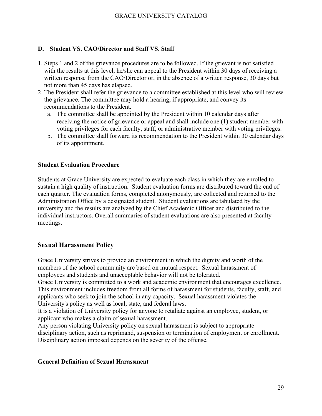### **D. Student VS. CAO/Director and Staff VS. Staff**

- 1. Steps 1 and 2 of the grievance procedures are to be followed. If the grievant is not satisfied with the results at this level, he/she can appeal to the President within 30 days of receiving a written response from the CAO/Director or, in the absence of a written response, 30 days but not more than 45 days has elapsed.
- 2. The President shall refer the grievance to a committee established at this level who will review the grievance. The committee may hold a hearing, if appropriate, and convey its recommendations to the President.
	- a. The committee shall be appointed by the President within 10 calendar days after receiving the notice of grievance or appeal and shall include one (1) student member with voting privileges for each faculty, staff, or administrative member with voting privileges.
	- b. The committee shall forward its recommendation to the President within 30 calendar days of its appointment.

### **Student Evaluation Procedure**

Students at Grace University are expected to evaluate each class in which they are enrolled to sustain a high quality of instruction. Student evaluation forms are distributed toward the end of each quarter. The evaluation forms, completed anonymously, are collected and returned to the Administration Office by a designated student. Student evaluations are tabulated by the university and the results are analyzed by the Chief Academic Officer and distributed to the individual instructors. Overall summaries of student evaluations are also presented at faculty meetings.

### **Sexual Harassment Policy**

Grace University strives to provide an environment in which the dignity and worth of the members of the school community are based on mutual respect. Sexual harassment of employees and students and unacceptable behavior will not be tolerated.

Grace University is committed to a work and academic environment that encourages excellence. This environment includes freedom from all forms of harassment for students, faculty, staff, and applicants who seek to join the school in any capacity. Sexual harassment violates the University's policy as well as local, state, and federal laws.

It is a violation of University policy for anyone to retaliate against an employee, student, or applicant who makes a claim of sexual harassment.

Any person violating University policy on sexual harassment is subject to appropriate disciplinary action, such as reprimand, suspension or termination of employment or enrollment. Disciplinary action imposed depends on the severity of the offense.

### **General Definition of Sexual Harassment**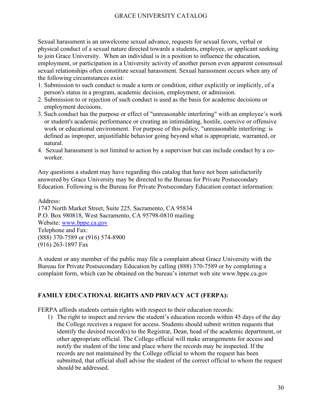Sexual harassment is an unwelcome sexual advance, requests for sexual favors, verbal or physical conduct of a sexual nature directed towards a students, employee, or applicant seeking to join Grace University. When an individual is in a position to influence the education, employment, or participation in a University activity of another person even apparent consensual sexual relationships often constitute sexual harassment. Sexual harassment occurs when any of the following circumstances exist:

- 1. Submission to such conduct is made a term or condition, either explicitly or implicitly, of a person's status in a program, academic decision, employment, or admission.
- 2. Submission to or rejection of such conduct is used as the basis for academic decisions or employment decisions.
- 3. Such conduct has the purpose or effect of "unreasonable interfering" with an employee's work or student's academic performance or creating an intimidating, hostile, coercive or offensive work or educational environment. For purpose of this policy, "unreasonable interfering: is defined as improper, unjustifiable behavior going beyond what is appropriate, warranted, or natural.
- 4. Sexual harassment is not limited to action by a supervisor but can include conduct by a coworker.

Any questions a student may have regarding this catalog that have not been satisfactorily answered by Grace University may be directed to the Bureau for Private Postsecondary Education. Following is the Bureau for Private Postsecondary Education contact information:

Address: 1747 North Market Street, Suite 225, Sacramento, CA 95834 P.O. Box 980818, West Sacramento, CA 95798-0810 mailing Website: [www.bppe.ca.gov](http://www.bppe.ca.gov/) Telephone and Fax: (888) 370-7589 or (916) 574-8900 (916) 263-1897 Fax

A student or any member of the public may file a complaint about Grace University with the Bureau for Private Postsecondary Education by calling (888) 370-7589 or by completing a complaint form, which can be obtained on the bureau's internet web site [www.bppe.ca.gov](http://www.bppe.ca.gov/)

### **FAMILY EDUCATIONAL RIGHTS AND PRIVACY ACT (FERPA):**

FERPA affords students certain rights with respect to their education records:

1) The right to inspect and review the student's education records within 45 days of the day the College receives a request for access. Students should submit written requests that identify the desired record(s) to the Registrar, Dean, head of the academic department, or other appropriate official. The College official will make arrangements for access and notify the student of the time and place where the records may be inspected. If the records are not maintained by the College official to whom the request has been submitted, that official shall advise the student of the correct official to whom the request should be addressed.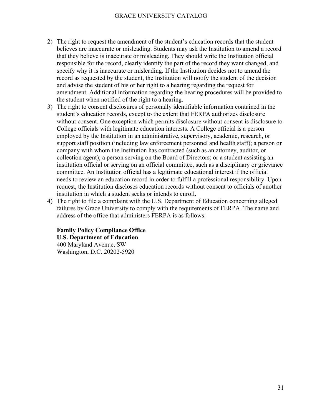- 2) The right to request the amendment of the student's education records that the student believes are inaccurate or misleading. Students may ask the Institution to amend a record that they believe is inaccurate or misleading. They should write the Institution official responsible for the record, clearly identify the part of the record they want changed, and specify why it is inaccurate or misleading. If the Institution decides not to amend the record as requested by the student, the Institution will notify the student of the decision and advise the student of his or her right to a hearing regarding the request for amendment. Additional information regarding the hearing procedures will be provided to the student when notified of the right to a hearing.
- 3) The right to consent disclosures of personally identifiable information contained in the student's education records, except to the extent that FERPA authorizes disclosure without consent. One exception which permits disclosure without consent is disclosure to College officials with legitimate education interests. A College official is a person employed by the Institution in an administrative, supervisory, academic, research, or support staff position (including law enforcement personnel and health staff); a person or company with whom the Institution has contracted (such as an attorney, auditor, or collection agent); a person serving on the Board of Directors; or a student assisting an institution official or serving on an official committee, such as a disciplinary or grievance committee. An Institution official has a legitimate educational interest if the official needs to review an education record in order to fulfill a professional responsibility. Upon request, the Institution discloses education records without consent to officials of another institution in which a student seeks or intends to enroll.
- 4) The right to file a complaint with the U.S. Department of Education concerning alleged failures by Grace University to comply with the requirements of FERPA. The name and address of the office that administers FERPA is as follows:

### **Family Policy Compliance Office U.S. Department of Education**

400 Maryland Avenue, SW Washington, D.C. 20202-5920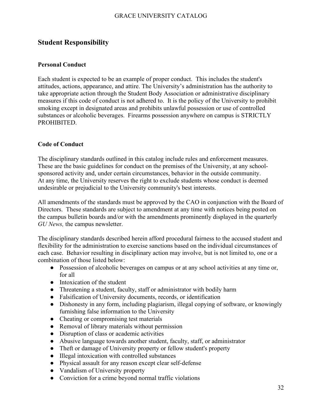### <span id="page-32-0"></span>**Student Responsibility**

### <span id="page-32-1"></span>**Personal Conduct**

Each student is expected to be an example of proper conduct. This includes the student's attitudes, actions, appearance, and attire. The University's administration has the authority to take appropriate action through the Student Body Association or administrative disciplinary measures if this code of conduct is not adhered to. It is the policy of the University to prohibit smoking except in designated areas and prohibits unlawful possession or use of controlled substances or alcoholic beverages. Firearms possession anywhere on campus is STRICTLY PROHIBITED.

#### <span id="page-32-2"></span>**Code of Conduct**

The disciplinary standards outlined in this catalog include rules and enforcement measures. These are the basic guidelines for conduct on the premises of the University, at any schoolsponsored activity and, under certain circumstances, behavior in the outside community. At any time, the University reserves the right to exclude students whose conduct is deemed undesirable or prejudicial to the University community's best interests.

All amendments of the standards must be approved by the CAO in conjunction with the Board of Directors. These standards are subject to amendment at any time with notices being posted on the campus bulletin boards and/or with the amendments prominently displayed in the quarterly *GU News,* the campus newsletter.

The disciplinary standards described herein afford procedural fairness to the accused student and flexibility for the administration to exercise sanctions based on the individual circumstances of each case. Behavior resulting in disciplinary action may involve, but is not limited to, one or a combination of those listed below:

- Possession of alcoholic beverages on campus or at any school activities at any time or, for all
- Intoxication of the student
- Threatening a student, faculty, staff or administrator with bodily harm
- Falsification of University documents, records, or identification
- Dishonesty in any form, including plagiarism, illegal copying of software, or knowingly furnishing false information to the University
- Cheating or compromising test materials
- Removal of library materials without permission
- Disruption of class or academic activities
- Abusive language towards another student, faculty, staff, or administrator
- Theft or damage of University property or fellow student's property
- Illegal intoxication with controlled substances
- Physical assault for any reason except clear self-defense
- Vandalism of University property
- Conviction for a crime beyond normal traffic violations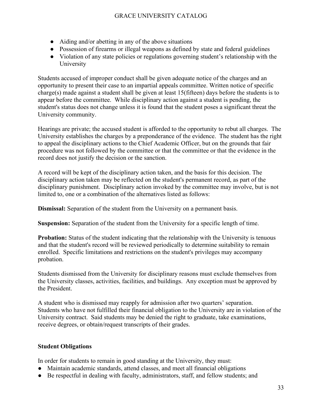- Aiding and/or abetting in any of the above situations
- Possession of firearms or illegal weapons as defined by state and federal guidelines
- Violation of any state policies or regulations governing student's relationship with the University

Students accused of improper conduct shall be given adequate notice of the charges and an opportunity to present their case to an impartial appeals committee. Written notice of specific charge(s) made against a student shall be given at least 15(fifteen) days before the students is to appear before the committee. While disciplinary action against a student is pending, the student's status does not change unless it is found that the student poses a significant threat the University community.

Hearings are private; the accused student is afforded to the opportunity to rebut all charges. The University establishes the charges by a preponderance of the evidence. The student has the right to appeal the disciplinary actions to the Chief Academic Officer, but on the grounds that fair procedure was not followed by the committee or that the committee or that the evidence in the record does not justify the decision or the sanction.

A record will be kept of the disciplinary action taken, and the basis for this decision. The disciplinary action taken may be reflected on the student's permanent record, as part of the disciplinary punishment. Disciplinary action invoked by the committee may involve, but is not limited to, one or a combination of the alternatives listed as follows:

**Dismissal:** Separation of the student from the University on a permanent basis.

**Suspension:** Separation of the student from the University for a specific length of time.

**Probation:** Status of the student indicating that the relationship with the University is tenuous and that the student's record will be reviewed periodically to determine suitability to remain enrolled. Specific limitations and restrictions on the student's privileges may accompany probation.

Students dismissed from the University for disciplinary reasons must exclude themselves from the University classes, activities, facilities, and buildings. Any exception must be approved by the President.

A student who is dismissed may reapply for admission after two quarters' separation. Students who have not fulfilled their financial obligation to the University are in violation of the University contract. Said students may be denied the right to graduate, take examinations, receive degrees, or obtain/request transcripts of their grades.

### <span id="page-33-0"></span>**Student Obligations**

In order for students to remain in good standing at the University, they must:

- Maintain academic standards, attend classes, and meet all financial obligations
- Be respectful in dealing with faculty, administrators, staff, and fellow students; and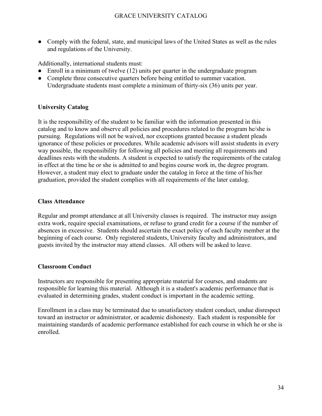● Comply with the federal, state, and municipal laws of the United States as well as the rules and regulations of the University.

Additionally, international students must:

- Enroll in a minimum of twelve (12) units per quarter in the undergraduate program
- Complete three consecutive quarters before being entitled to summer vacation. Undergraduate students must complete a minimum of thirty-six (36) units per year.

### **University Catalog**

It is the responsibility of the student to be familiar with the information presented in this catalog and to know and observe all policies and procedures related to the program he/she is pursuing. Regulations will not be waived, nor exceptions granted because a student pleads ignorance of these policies or procedures. While academic advisors will assist students in every way possible, the responsibility for following all policies and meeting all requirements and deadlines rests with the students. A student is expected to satisfy the requirements of the catalog in effect at the time he or she is admitted to and begins course work in, the degree program. However, a student may elect to graduate under the catalog in force at the time of his/her graduation, provided the student complies with all requirements of the later catalog.

### **Class Attendance**

Regular and prompt attendance at all University classes is required. The instructor may assign extra work, require special examinations, or refuse to grand credit for a course if the number of absences in excessive. Students should ascertain the exact policy of each faculty member at the beginning of each course. Only registered students, University faculty and administrators, and guests invited by the instructor may attend classes. All others will be asked to leave.

### **Classroom Conduct**

Instructors are responsible for presenting appropriate material for courses, and students are responsible for learning this material. Although it is a student's academic performance that is evaluated in determining grades, student conduct is important in the academic setting.

Enrollment in a class may be terminated due to unsatisfactory student conduct, undue disrespect toward an instructor or administrator, or academic dishonesty. Each student is responsible for maintaining standards of academic performance established for each course in which he or she is enrolled.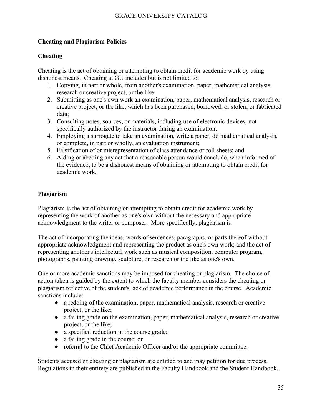### <span id="page-35-0"></span>**Cheating and Plagiarism Policies**

### **Cheating**

Cheating is the act of obtaining or attempting to obtain credit for academic work by using dishonest means. Cheating at GU includes but is not limited to:

- 1. Copying, in part or whole, from another's examination, paper, mathematical analysis, research or creative project, or the like;
- 2. Submitting as one's own work an examination, paper, mathematical analysis, research or creative project, or the like, which has been purchased, borrowed, or stolen; or fabricated data;
- 3. Consulting notes, sources, or materials, including use of electronic devices, not specifically authorized by the instructor during an examination;
- 4. Employing a surrogate to take an examination, write a paper, do mathematical analysis, or complete, in part or wholly, an evaluation instrument;
- 5. Falsification of or misrepresentation of class attendance or roll sheets; and
- 6. Aiding or abetting any act that a reasonable person would conclude, when informed of the evidence, to be a dishonest means of obtaining or attempting to obtain credit for academic work.

### **Plagiarism**

Plagiarism is the act of obtaining or attempting to obtain credit for academic work by representing the work of another as one's own without the necessary and appropriate acknowledgment to the writer or composer. More specifically, plagiarism is:

The act of incorporating the ideas, words of sentences, paragraphs, or parts thereof without appropriate acknowledgment and representing the product as one's own work; and the act of representing another's intellectual work such as musical composition, computer program, photographs, painting drawing, sculpture, or research or the like as one's own.

One or more academic sanctions may be imposed for cheating or plagiarism. The choice of action taken is guided by the extent to which the faculty member considers the cheating or plagiarism reflective of the student's lack of academic performance in the course. Academic sanctions include:

- a redoing of the examination, paper, mathematical analysis, research or creative project, or the like;
- a failing grade on the examination, paper, mathematical analysis, research or creative project, or the like;
- a specified reduction in the course grade;
- a failing grade in the course; or
- referral to the Chief Academic Officer and/or the appropriate committee.

Students accused of cheating or plagiarism are entitled to and may petition for due process. Regulations in their entirety are published in the Faculty Handbook and the Student Handbook.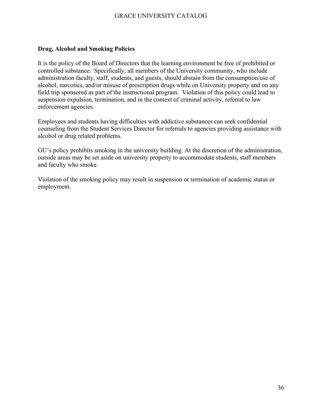### <span id="page-36-0"></span>**Drug, Alcohol and Smoking Policies**

It is the policy of the Board of Directors that the learning environment be free of prohibited or controlled substance. Specifically, all members of the University community, who include administration faculty, staff, students, and guests, should abstain from the consumption/use of alcohol, narcotics, and/or misuse of prescription drugs while on University property and on any field trip sponsored as part of the instructional program. Violation of this policy could lead to suspension expulsion, termination, and in the context of criminal activity, referral to law enforcement agencies.

Employees and students having difficulties with addictive substances can seek confidential counseling from the Student Services Director for referrals to agencies providing assistance with alcohol or drug related problems.

GU's policy prohibits smoking in the university building. At the discretion of the administration, outside areas may be set aside on university property to accommodate students, staff members and faculty who smoke.

Violation of the smoking policy may result in suspension or termination of academic status or employment.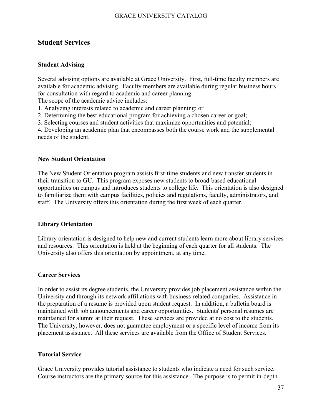### <span id="page-37-0"></span>**Student Services**

### <span id="page-37-1"></span>**Student Advising**

Several advising options are available at Grace University. First, full-time faculty members are available for academic advising. Faculty members are available during regular business hours for consultation with regard to academic and career planning.

The scope of the academic advice includes:

1. Analyzing interests related to academic and career planning; or

2. Determining the best educational program for achieving a chosen career or goal;

3. Selecting courses and student activities that maximize opportunities and potential;

4. Developing an academic plan that encompasses both the course work and the supplemental needs of the student.

### <span id="page-37-2"></span>**New Student Orientation**

The New Student Orientation program assists first-time students and new transfer students in their transition to GU. This program exposes new students to broad-based educational opportunities on campus and introduces students to college life. This orientation is also designed to familiarize them with campus facilities, policies and regulations, faculty, administrators, and staff. The University offers this orientation during the first week of each quarter.

### **Library Orientation**

Library orientation is designed to help new and current students learn more about library services and resources. This orientation is held at the beginning of each quarter for all students. The University also offers this orientation by appointment, at any time.

### <span id="page-37-3"></span>**Career Services**

In order to assist its degree students, the University provides job placement assistance within the University and through its network affiliations with business-related companies. Assistance in the preparation of a resume is provided upon student request. In addition, a bulletin board is maintained with job announcements and career opportunities. Students' personal resumes are maintained for alumni at their request. These services are provided at no cost to the students. The University, however, does not guarantee employment or a specific level of income from its placement assistance. All these services are available from the Office of Student Services.

### **Tutorial Service**

Grace University provides tutorial assistance to students who indicate a need for such service. Course instructors are the primary source for this assistance. The purpose is to permit in-depth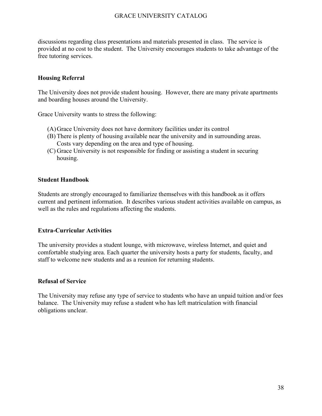discussions regarding class presentations and materials presented in class. The service is provided at no cost to the student. The University encourages students to take advantage of the free tutoring services.

### **Housing Referral**

The University does not provide student housing. However, there are many private apartments and boarding houses around the University.

Grace University wants to stress the following:

- (A)Grace University does not have dormitory facilities under its control
- (B) There is plenty of housing available near the university and in surrounding areas. Costs vary depending on the area and type of housing.
- (C) Grace University is not responsible for finding or assisting a student in securing housing.

#### **Student Handbook**

Students are strongly encouraged to familiarize themselves with this handbook as it offers current and pertinent information. It describes various student activities available on campus, as well as the rules and regulations affecting the students.

### **Extra-Curricular Activities**

The university provides a student lounge, with microwave, wireless Internet, and quiet and comfortable studying area. Each quarter the university hosts a party for students, faculty, and staff to welcome new students and as a reunion for returning students.

### **Refusal of Service**

The University may refuse any type of service to students who have an unpaid tuition and/or fees balance. The University may refuse a student who has left matriculation with financial obligations unclear.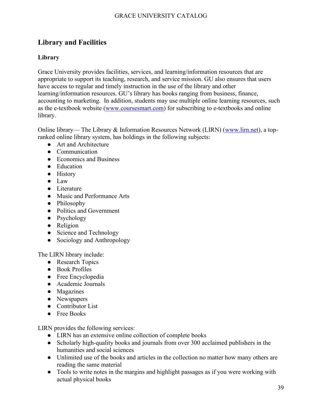### <span id="page-39-0"></span>**Library and Facilities**

### <span id="page-39-1"></span>**Library**

Grace University provides facilities, services, and learning/information resources that are appropriate to support its teaching, research, and service mission. GU also ensures that users have access to regular and timely instruction in the use of the library and other learning/information resources. GU's library has books ranging from business, finance, accounting to marketing. In addition, students may use multiple online learning resources, such as the e-textbook website [\(www.coursesmart.com\)](http://www.coursesmart.com/) for subscribing to e-textbooks and online library.

Online library— The Library & Information Resources Network (LIRN) [\(www.lirn.net\)](http://www.lirn.net/), a topranked online library system, has holdings in the following subjects:

- Art and Architecture
- Communication
- Economics and Business
- Education
- History
- Law
- Literature
- Music and Performance Arts
- Philosophy
- Politics and Government
- Psychology
- Religion
- Science and Technology
- Sociology and Anthropology

The LIRN library include:

- Research Topics
- Book Profiles
- Free Encyclopedia
- Academic Journals
- Magazines
- Newspapers
- Contributor List
- Free Books

LIRN provides the following services:

- LIRN has an extensive online collection of complete books
- Scholarly high-quality books and journals from over 300 acclaimed publishers in the humanities and social sciences
- Unlimited use of the books and articles in the collection no matter how many others are reading the same material
- Tools to write notes in the margins and highlight passages as if you were working with actual physical books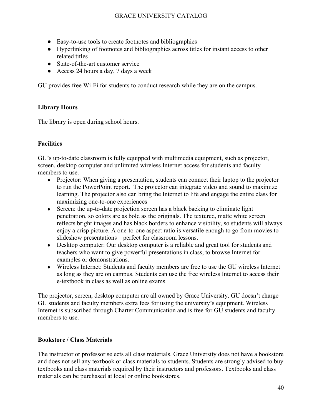- Easy-to-use tools to create footnotes and bibliographies
- Hyperlinking of footnotes and bibliographies across titles for instant access to other related titles
- State-of-the-art customer service
- Access 24 hours a day, 7 days a week

GU provides free Wi-Fi for students to conduct research while they are on the campus.

### **Library Hours**

The library is open during school hours.

### <span id="page-40-0"></span>**Facilities**

GU's up-to-date classroom is fully equipped with multimedia equipment, such as projector, screen, desktop computer and unlimited wireless Internet access for students and faculty members to use.

- Projector: When giving a presentation, students can connect their laptop to the projector to run the PowerPoint report. The projector can integrate video and sound to maximize learning. The projector also can bring the Internet to life and engage the entire class for maximizing one-to-one experiences
- Screen: the up-to-date projection screen has a black backing to eliminate light penetration, so colors are as bold as the originals. The textured, matte white screen reflects bright images and has black borders to enhance visibility, so students will always enjoy a crisp picture. A one-to-one aspect ratio is versatile enough to go from movies to slideshow presentations—perfect for classroom lessons.
- Desktop computer: Our desktop computer is a reliable and great tool for students and teachers who want to give powerful presentations in class, to browse Internet for examples or demonstrations.
- Wireless Internet: Students and faculty members are free to use the GU wireless Internet as long as they are on campus. Students can use the free wireless Internet to access their e-textbook in class as well as online exams.

The projector, screen, desktop computer are all owned by Grace University. GU doesn't charge GU students and faculty members extra fees for using the university's equipment. Wireless Internet is subscribed through Charter Communication and is free for GU students and faculty members to use.

### **Bookstore / Class Materials**

The instructor or professor selects all class materials. Grace University does not have a bookstore and does not sell any textbook or class materials to students. Students are strongly advised to buy textbooks and class materials required by their instructors and professors. Textbooks and class materials can be purchased at local or online bookstores.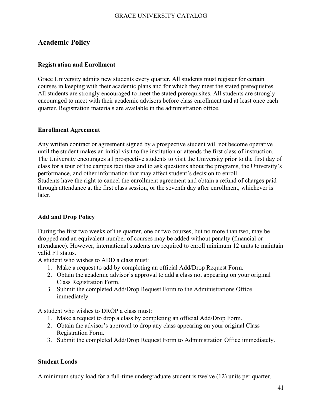### <span id="page-41-0"></span>**Academic Policy**

### <span id="page-41-1"></span>**Registration and Enrollment**

Grace University admits new students every quarter. All students must register for certain courses in keeping with their academic plans and for which they meet the stated prerequisites. All students are strongly encouraged to meet the stated prerequisites. All students are strongly encouraged to meet with their academic advisors before class enrollment and at least once each quarter. Registration materials are available in the administration office.

### <span id="page-41-2"></span>**Enrollment Agreement**

Any written contract or agreement signed by a prospective student will not become operative until the student makes an initial visit to the institution or attends the first class of instruction. The University encourages all prospective students to visit the University prior to the first day of class for a tour of the campus facilities and to ask questions about the programs, the University's performance, and other information that may affect student's decision to enroll. Students have the right to cancel the enrollment agreement and obtain a refund of charges paid through attendance at the first class session, or the seventh day after enrollment, whichever is later.

### <span id="page-41-3"></span>**Add and Drop Policy**

During the first two weeks of the quarter, one or two courses, but no more than two, may be dropped and an equivalent number of courses may be added without penalty (financial or attendance). However, international students are required to enroll minimum 12 units to maintain valid F1 status.

A student who wishes to ADD a class must:

- 1. Make a request to add by completing an official Add/Drop Request Form.
- 2. Obtain the academic advisor's approval to add a class not appearing on your original Class Registration Form.
- 3. Submit the completed Add/Drop Request Form to the Administrations Office immediately.

A student who wishes to DROP a class must:

- 1. Make a request to drop a class by completing an official Add/Drop Form.
- 2. Obtain the advisor's approval to drop any class appearing on your original Class Registration Form.
- 3. Submit the completed Add/Drop Request Form to Administration Office immediately.

### <span id="page-41-4"></span>**Student Loads**

A minimum study load for a full-time undergraduate student is twelve (12) units per quarter.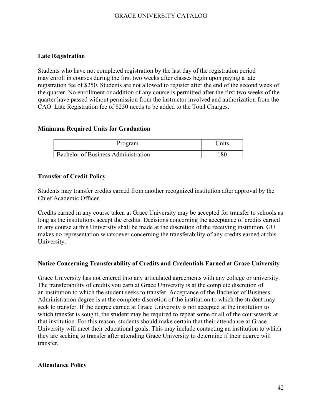### <span id="page-42-0"></span>**Late Registration**

Students who have not completed registration by the last day of the registration period may enroll in courses during the first two weeks after classes begin upon paying a late registration fee of \$250. Students are not allowed to register after the end of the second week of the quarter. No enrollment or addition of any course is permitted after the first two weeks of the quarter have passed without permission from the instructor involved and authorization from the CAO. Late Registration fee of \$250 needs to be added to the Total Charges.

### <span id="page-42-1"></span>**Minimum Required Units for Graduation**

| Program                                    | ' Jnits |
|--------------------------------------------|---------|
| <b>Bachelor of Business Administration</b> | 180     |

### <span id="page-42-2"></span>**Transfer of Credit Policy**

Students may transfer credits earned from another recognized institution after approval by the Chief Academic Officer.

Credits earned in any course taken at Grace University may be accepted for transfer to schools as long as the institutions accept the credits. Decisions concerning the acceptance of credits earned in any course at this University shall be made at the discretion of the receiving institution. GU makes no representation whatsoever concerning the transferability of any credits earned at this University.

### <span id="page-42-3"></span>**Notice Concerning Transferability of Credits and Credentials Earned at Grace University**

Grace University has not entered into any articulated agreements with any college or university. The transferability of credits you earn at Grace University is at the complete discretion of an institution to which the student seeks to transfer. Acceptance of the Bachelor of Business Administration degree is at the complete discretion of the institution to which the student may seek to transfer. If the degree earned at Grace University is not accepted at the institution to which transfer is sought, the student may be required to repeat some or all of the coursework at that institution. For this reason, students should make certain that their attendance at Grace University will meet their educational goals. This may include contacting an institution to which they are seeking to transfer after attending Grace University to determine if their degree will transfer.

### <span id="page-42-4"></span>**Attendance Policy**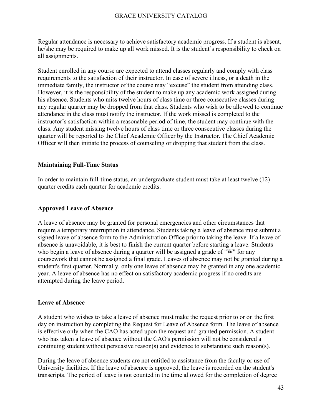Regular attendance is necessary to achieve satisfactory academic progress. If a student is absent, he/she may be required to make up all work missed. It is the student's responsibility to check on all assignments.

Student enrolled in any course are expected to attend classes regularly and comply with class requirements to the satisfaction of their instructor. In case of severe illness, or a death in the immediate family, the instructor of the course may "excuse" the student from attending class. However, it is the responsibility of the student to make up any academic work assigned during his absence. Students who miss twelve hours of class time or three consecutive classes during any regular quarter may be dropped from that class. Students who wish to be allowed to continue attendance in the class must notify the instructor. If the work missed is completed to the instructor's satisfaction within a reasonable period of time, the student may continue with the class. Any student missing twelve hours of class time or three consecutive classes during the quarter will be reported to the Chief Academic Officer by the Instructor. The Chief Academic Officer will then initiate the process of counseling or dropping that student from the class.

### **Maintaining Full-Time Status**

In order to maintain full-time status, an undergraduate student must take at least twelve (12) quarter credits each quarter for academic credits.

### **Approved Leave of Absence**

A leave of absence may be granted for personal emergencies and other circumstances that require a temporary interruption in attendance. Students taking a leave of absence must submit a signed leave of absence form to the Administration Office prior to taking the leave. If a leave of absence is unavoidable, it is best to finish the current quarter before starting a leave. Students who begin a leave of absence during a quarter will be assigned a grade of "W" for any coursework that cannot be assigned a final grade. Leaves of absence may not be granted during a student's first quarter. Normally, only one leave of absence may be granted in any one academic year. A leave of absence has no effect on satisfactory academic progress if no credits are attempted during the leave period.

### **Leave of Absence**

A student who wishes to take a leave of absence must make the request prior to or on the first day on instruction by completing the Request for Leave of Absence form. The leave of absence is effective only when the CAO has acted upon the request and granted permission. A student who has taken a leave of absence without the CAO's permission will not be considered a continuing student without persuasive reason(s) and evidence to substantiate such reason(s).

During the leave of absence students are not entitled to assistance from the faculty or use of University facilities. If the leave of absence is approved, the leave is recorded on the student's transcripts. The period of leave is not counted in the time allowed for the completion of degree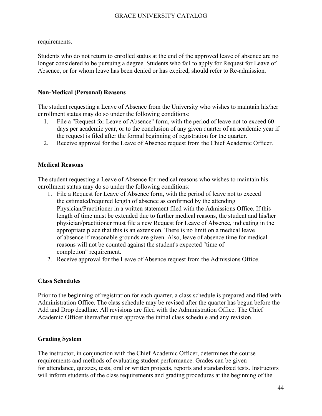requirements.

Students who do not return to enrolled status at the end of the approved leave of absence are no longer considered to be pursuing a degree. Students who fail to apply for Request for Leave of Absence, or for whom leave has been denied or has expired, should refer to Re-admission.

### **Non-Medical (Personal) Reasons**

The student requesting a Leave of Absence from the University who wishes to maintain his/her enrollment status may do so under the following conditions:

- 1. File a "Request for Leave of Absence" form, with the period of leave not to exceed 60 days per academic year, or to the conclusion of any given quarter of an academic year if the request is filed after the formal beginning of registration for the quarter.
- 2. Receive approval for the Leave of Absence request from the Chief Academic Officer.

### **Medical Reasons**

The student requesting a Leave of Absence for medical reasons who wishes to maintain his enrollment status may do so under the following conditions:

- 1. File a Request for Leave of Absence form, with the period of leave not to exceed the estimated/required length of absence as confirmed by the attending Physician/Practitioner in a written statement filed with the Admissions Office. If this length of time must be extended due to further medical reasons, the student and his/her physician/practitioner must file a new Request for Leave of Absence, indicating in the appropriate place that this is an extension. There is no limit on a medical leave of absence if reasonable grounds are given. Also, leave of absence time for medical reasons will not be counted against the student's expected "time of completion" requirement.
- 2. Receive approval for the Leave of Absence request from the Admissions Office.

### <span id="page-44-0"></span>**Class Schedules**

Prior to the beginning of registration for each quarter, a class schedule is prepared and filed with Administration Office. The class schedule may be revised after the quarter has begun before the Add and Drop deadline. All revisions are filed with the Administration Office. The Chief Academic Officer thereafter must approve the initial class schedule and any revision.

### <span id="page-44-1"></span>**Grading System**

The instructor, in conjunction with the Chief Academic Officer, determines the course requirements and methods of evaluating student performance. Grades can be given for attendance, quizzes, tests, oral or written projects, reports and standardized tests. Instructors will inform students of the class requirements and grading procedures at the beginning of the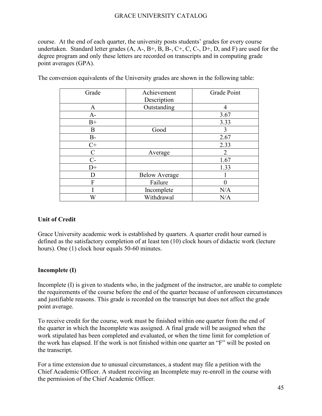course. At the end of each quarter, the university posts students' grades for every course undertaken. Standard letter grades  $(A, A-, B+, B, B-, C+, C, C-, D+, D, and F)$  are used for the degree program and only these letters are recorded on transcripts and in computing grade point averages (GPA).

| Grade       | Achievement<br>Description | Grade Point    |
|-------------|----------------------------|----------------|
| A           | Outstanding                | 4              |
| $A-$        |                            | 3.67           |
| $B+$        |                            | 3.33           |
| B           | Good                       | 3              |
| $B-$        |                            | 2.67           |
| $C+$        |                            | 2.33           |
| $\mathbf C$ | Average                    | $\overline{2}$ |
| $C-$        |                            | 1.67           |
| $D+$        |                            | 1.33           |
| D           | <b>Below Average</b>       |                |
| F           | Failure                    |                |
|             | Incomplete                 | N/A            |
| W           | Withdrawal                 | N/A            |

The conversion equivalents of the University grades are shown in the following table:

### **Unit of Credit**

Grace University academic work is established by quarters. A quarter credit hour earned is defined as the satisfactory completion of at least ten (10) clock hours of didactic work (lecture hours). One (1) clock hour equals 50-60 minutes.

### **Incomplete (I)**

Incomplete (I) is given to students who, in the judgment of the instructor, are unable to complete the requirements of the course before the end of the quarter because of unforeseen circumstances and justifiable reasons. This grade is recorded on the transcript but does not affect the grade point average.

To receive credit for the course, work must be finished within one quarter from the end of the quarter in which the Incomplete was assigned. A final grade will be assigned when the work stipulated has been completed and evaluated, or when the time limit for completion of the work has elapsed. If the work is not finished within one quarter an "F" will be posted on the transcript.

For a time extension due to unusual circumstances, a student may file a petition with the Chief Academic Officer. A student receiving an Incomplete may re-enroll in the course with the permission of the Chief Academic Officer.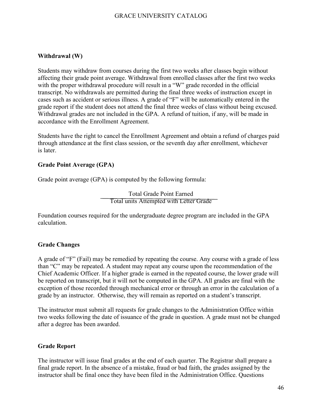#### **Withdrawal (W)**

Students may withdraw from courses during the first two weeks after classes begin without affecting their grade point average. Withdrawal from enrolled classes after the first two weeks with the proper withdrawal procedure will result in a "W" grade recorded in the official transcript. No withdrawals are permitted during the final three weeks of instruction except in cases such as accident or serious illness. A grade of "F" will be automatically entered in the grade report if the student does not attend the final three weeks of class without being excused. Withdrawal grades are not included in the GPA. A refund of tuition, if any, will be made in accordance with the Enrollment Agreement.

Students have the right to cancel the Enrollment Agreement and obtain a refund of charges paid through attendance at the first class session, or the seventh day after enrollment, whichever is later.

#### **Grade Point Average (GPA)**

Grade point average (GPA) is computed by the following formula:

Total Grade Point Earned Total units Attempted with Letter Grade

Foundation courses required for the undergraduate degree program are included in the GPA calculation.

### **Grade Changes**

A grade of "F" (Fail) may be remedied by repeating the course. Any course with a grade of less than "C" may be repeated. A student may repeat any course upon the recommendation of the Chief Academic Officer. If a higher grade is earned in the repeated course, the lower grade will be reported on transcript, but it will not be computed in the GPA. All grades are final with the exception of those recorded through mechanical error or through an error in the calculation of a grade by an instructor. Otherwise, they will remain as reported on a student's transcript.

The instructor must submit all requests for grade changes to the Administration Office within two weeks following the date of issuance of the grade in question. A grade must not be changed after a degree has been awarded.

#### **Grade Report**

The instructor will issue final grades at the end of each quarter. The Registrar shall prepare a final grade report. In the absence of a mistake, fraud or bad faith, the grades assigned by the instructor shall be final once they have been filed in the Administration Office. Questions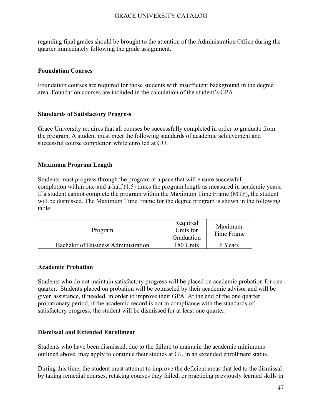regarding final grades should be brought to the attention of the Administration Office during the quarter immediately following the grade assignment.

### **Foundation Courses**

Foundation courses are required for those students with insufficient background in the degree area. Foundation courses are included in the calculation of the student's GPA.

#### **Standards of Satisfactory Progress**

Grace University requires that all courses be successfully completed in order to graduate from the program. A student must meet the following standards of academic achievement and successful course completion while enrolled at GU.

### **Maximum Program Length**

Students must progress through the program at a pace that will ensure successful completion within one-and a-half (1.5) times the program length as measured in academic years. If a student cannot complete the program within the Maximum Time Frame (MTF), the student will be dismissed. The Maximum Time Frame for the degree program is shown in the following table:

| Program                                    | Required<br>Units for<br>Graduation | Maximum<br>Time Frame |
|--------------------------------------------|-------------------------------------|-----------------------|
| <b>Bachelor of Business Administration</b> | 180 Units                           | 6 Years               |

#### <span id="page-47-0"></span>**Academic Probation**

Students who do not maintain satisfactory progress will be placed on academic probation for one quarter. Students placed on probation will be counseled by their academic advisor and will be given assistance, if needed, in order to improve their GPA. At the end of the one quarter probationary period, if the academic record is not in compliance with the standards of satisfactory progress, the student will be dismissed for at least one quarter.

### <span id="page-47-1"></span>**Dismissal and Extended Enrollment**

Students who have been dismissed, due to the failure to maintain the academic minimums outlined above, may apply to continue their studies at GU in an extended enrollment status.

During this time, the student must attempt to improve the deficient areas that led to the dismissal by taking remedial courses, retaking courses they failed, or practicing previously learned skills in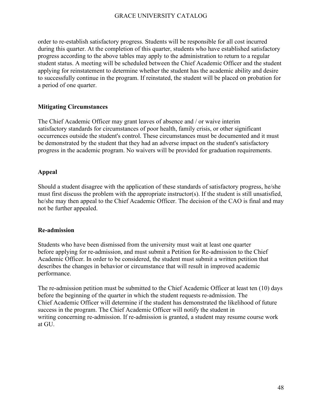order to re-establish satisfactory progress. Students will be responsible for all cost incurred during this quarter. At the completion of this quarter, students who have established satisfactory progress according to the above tables may apply to the administration to return to a regular student status. A meeting will be scheduled between the Chief Academic Officer and the student applying for reinstatement to determine whether the student has the academic ability and desire to successfully continue in the program. If reinstated, the student will be placed on probation for a period of one quarter.

### **Mitigating Circumstances**

The Chief Academic Officer may grant leaves of absence and / or waive interim satisfactory standards for circumstances of poor health, family crisis, or other significant occurrences outside the student's control. These circumstances must be documented and it must be demonstrated by the student that they had an adverse impact on the student's satisfactory progress in the academic program. No waivers will be provided for graduation requirements.

### **Appeal**

Should a student disagree with the application of these standards of satisfactory progress, he/she must first discuss the problem with the appropriate instructor(s). If the student is still unsatisfied, he/she may then appeal to the Chief Academic Officer. The decision of the CAO is final and may not be further appealed.

### **Re-admission**

Students who have been dismissed from the university must wait at least one quarter before applying for re-admission, and must submit a Petition for Re-admission to the Chief Academic Officer. In order to be considered, the student must submit a written petition that describes the changes in behavior or circumstance that will result in improved academic performance.

The re-admission petition must be submitted to the Chief Academic Officer at least ten (10) days before the beginning of the quarter in which the student requests re-admission. The Chief Academic Officer will determine if the student has demonstrated the likelihood of future success in the program. The Chief Academic Officer will notify the student in writing concerning re-admission. If re-admission is granted, a student may resume course work at GU.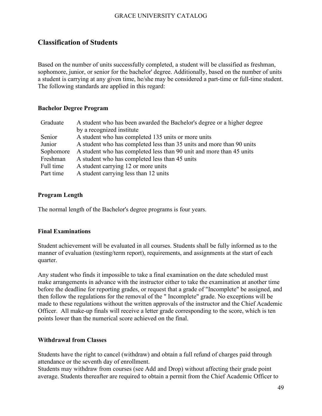### <span id="page-49-0"></span>**Classification of Students**

Based on the number of units successfully completed, a student will be classified as freshman, sophomore, junior, or senior for the bachelor' degree. Additionally, based on the number of units a student is carrying at any given time, he/she may be considered a part-time or full-time student. The following standards are applied in this regard:

### <span id="page-49-1"></span>**Bachelor Degree Program**

| Graduate  | A student who has been awarded the Bachelor's degree or a higher degree |
|-----------|-------------------------------------------------------------------------|
|           | by a recognized institute                                               |
| Senior    | A student who has completed 135 units or more units                     |
| Junior    | A student who has completed less than 35 units and more than 90 units   |
| Sophomore | A student who has completed less than 90 unit and more than 45 units    |
| Freshman  | A student who has completed less than 45 units                          |
| Full time | A student carrying 12 or more units                                     |
| Part time | A student carrying less than 12 units                                   |

### **Program Length**

The normal length of the Bachelor's degree programs is four years.

### **Final Examinations**

Student achievement will be evaluated in all courses. Students shall be fully informed as to the manner of evaluation (testing/term report), requirements, and assignments at the start of each quarter.

Any student who finds it impossible to take a final examination on the date scheduled must make arrangements in advance with the instructor either to take the examination at another time before the deadline for reporting grades, or request that a grade of "Incomplete" be assigned, and then follow the regulations for the removal of the " Incomplete" grade. No exceptions will be made to these regulations without the written approvals of the instructor and the Chief Academic Officer. All make-up finals will receive a letter grade corresponding to the score, which is ten points lower than the numerical score achieved on the final.

### <span id="page-49-2"></span>**Withdrawal from Classes**

Students have the right to cancel (withdraw) and obtain a full refund of charges paid through attendance or the seventh day of enrollment.

Students may withdraw from courses (see Add and Drop) without affecting their grade point average. Students thereafter are required to obtain a permit from the Chief Academic Officer to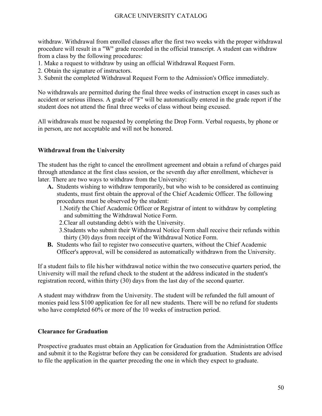withdraw. Withdrawal from enrolled classes after the first two weeks with the proper withdrawal procedure will result in a "W" grade recorded in the official transcript. A student can withdraw from a class by the following procedures:

- 1. Make a request to withdraw by using an official Withdrawal Request Form.
- 2. Obtain the signature of instructors.
- 3. Submit the completed Withdrawal Request Form to the Admission's Office immediately.

No withdrawals are permitted during the final three weeks of instruction except in cases such as accident or serious illness. A grade of "F" will be automatically entered in the grade report if the student does not attend the final three weeks of class without being excused.

All withdrawals must be requested by completing the Drop Form. Verbal requests, by phone or in person, are not acceptable and will not be honored.

### <span id="page-50-0"></span>**Withdrawal from the University**

The student has the right to cancel the enrollment agreement and obtain a refund of charges paid through attendance at the first class session, or the seventh day after enrollment, whichever is later. There are two ways to withdraw from the University:

- **A.** Students wishing to withdraw temporarily, but who wish to be considered as continuing students, must first obtain the approval of the Chief Academic Officer. The following procedures must be observed by the student:
	- 1.Notify the Chief Academic Officer or Registrar of intent to withdraw by completing and submitting the Withdrawal Notice Form.
	- 2.Clear all outstanding debt/s with the University.
	- 3.Students who submit their Withdrawal Notice Form shall receive their refunds within thirty (30) days from receipt of the Withdrawal Notice Form.
- **B.** Students who fail to register two consecutive quarters, without the Chief Academic Officer's approval, will be considered as automatically withdrawn from the University.

If a student fails to file his/her withdrawal notice within the two consecutive quarters period, the University will mail the refund check to the student at the address indicated in the student's registration record, within thirty (30) days from the last day of the second quarter.

A student may withdraw from the University. The student will be refunded the full amount of monies paid less \$100 application fee for all new students. There will be no refund for students who have completed 60% or more of the 10 weeks of instruction period.

### <span id="page-50-1"></span>**Clearance for Graduation**

Prospective graduates must obtain an Application for Graduation from the Administration Office and submit it to the Registrar before they can be considered for graduation. Students are advised to file the application in the quarter preceding the one in which they expect to graduate.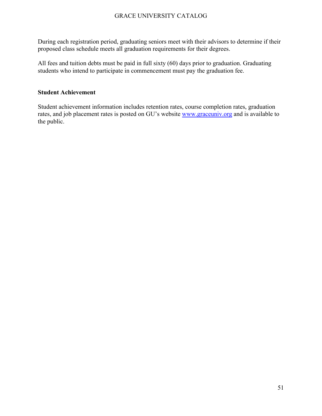During each registration period, graduating seniors meet with their advisors to determine if their proposed class schedule meets all graduation requirements for their degrees.

All fees and tuition debts must be paid in full sixty (60) days prior to graduation. Graduating students who intend to participate in commencement must pay the graduation fee.

#### <span id="page-51-0"></span>**Student Achievement**

Student achievement information includes retention rates, course completion rates, graduation rates, and job placement rates is posted on GU's website [www.graceuniv.org](http://www.graceuniv.org/) and is available to the public.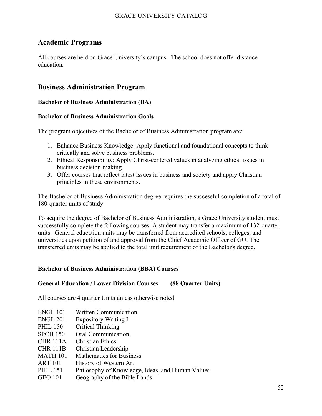### <span id="page-52-0"></span>**Academic Programs**

All courses are held on Grace University's campus. The school does not offer distance education.

### <span id="page-52-1"></span>**Business Administration Program**

### **Bachelor of Business Administration (BA)**

### **Bachelor of Business Administration Goals**

The program objectives of the Bachelor of Business Administration program are:

- 1. Enhance Business Knowledge: Apply functional and foundational concepts to think critically and solve business problems.
- 2. Ethical Responsibility: Apply Christ-centered values in analyzing ethical issues in business decision-making.
- 3. Offer courses that reflect latest issues in business and society and apply Christian principles in these environments.

The Bachelor of Business Administration degree requires the successful completion of a total of 180-quarter units of study.

To acquire the degree of Bachelor of Business Administration, a Grace University student must successfully complete the following courses. A student may transfer a maximum of 132-quarter units. General education units may be transferred from accredited schools, colleges, and universities upon petition of and approval from the Chief Academic Officer of GU. The transferred units may be applied to the total unit requirement of the Bachelor's degree.

### <span id="page-52-2"></span>**Bachelor of Business Administration (BBA) Courses**

### **General Education / Lower Division Courses (88 Quarter Units)**

All courses are 4 quarter Units unless otherwise noted.

- ENGL 101 Written Communication
- ENGL 201 Expository Writing I
- PHIL 150 Critical Thinking
- SPCH 150 Oral Communication
- CHR 111A Christian Ethics
- CHR 111B Christian Leadership
- MATH 101 Mathematics for Business
- ART 101 History of Western Art
- PHIL 151 Philosophy of Knowledge, Ideas, and Human Values
- GEO 101 Geography of the Bible Lands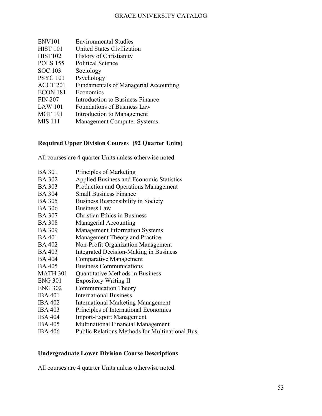| <b>ENV101</b>       | <b>Environmental Studies</b>                 |
|---------------------|----------------------------------------------|
| <b>HIST 101</b>     | United States Civilization                   |
| <b>HIST102</b>      | <b>History of Christianity</b>               |
| <b>POLS</b> 155     | <b>Political Science</b>                     |
| <b>SOC</b> 103      | Sociology                                    |
| <b>PSYC 101</b>     | Psychology                                   |
| ACCT <sub>201</sub> | <b>Fundamentals of Managerial Accounting</b> |
| ECON 181            | Economics                                    |
| <b>FIN 207</b>      | Introduction to Business Finance             |
| <b>LAW 101</b>      | <b>Foundations of Business Law</b>           |
| <b>MGT 191</b>      | Introduction to Management                   |
| <b>MIS</b> 111      | <b>Management Computer Systems</b>           |
|                     |                                              |

### **Required Upper Division Courses (92 Quarter Units)**

All courses are 4 quarter Units unless otherwise noted.

| <b>BA 301</b>   | Principles of Marketing                         |
|-----------------|-------------------------------------------------|
| <b>BA 302</b>   | Applied Business and Economic Statistics        |
| <b>BA 303</b>   | Production and Operations Management            |
| <b>BA 304</b>   | <b>Small Business Finance</b>                   |
| <b>BA 305</b>   | <b>Business Responsibility in Society</b>       |
| <b>BA 306</b>   | <b>Business Law</b>                             |
| <b>BA 307</b>   | <b>Christian Ethics in Business</b>             |
| <b>BA 308</b>   | Managerial Accounting                           |
| <b>BA 309</b>   | <b>Management Information Systems</b>           |
| <b>BA 401</b>   | Management Theory and Practice                  |
| <b>BA 402</b>   | Non-Profit Organization Management              |
| <b>BA 403</b>   | <b>Integrated Decision-Making in Business</b>   |
| <b>BA 404</b>   | <b>Comparative Management</b>                   |
| <b>BA 405</b>   | <b>Business Communications</b>                  |
| <b>MATH 301</b> | Quantitative Methods in Business                |
| <b>ENG 301</b>  | <b>Expository Writing II</b>                    |
| <b>ENG 302</b>  | <b>Communication Theory</b>                     |
| <b>IBA 401</b>  | <b>International Business</b>                   |
| <b>IBA 402</b>  | <b>International Marketing Management</b>       |
| <b>IBA 403</b>  | Principles of International Economics           |
| <b>IBA 404</b>  | <b>Import-Export Management</b>                 |
| <b>IBA 405</b>  | <b>Multinational Financial Management</b>       |
| <b>IBA 406</b>  | Public Relations Methods for Multinational Bus. |

### <span id="page-53-0"></span>**Undergraduate Lower Division Course Descriptions**

All courses are 4 quarter Units unless otherwise noted.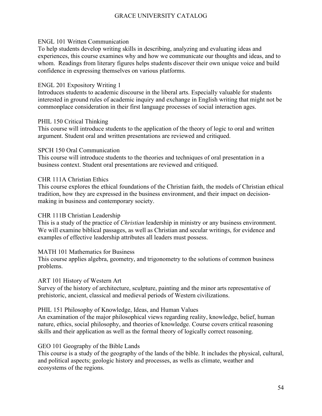### ENGL 101 Written Communication

To help students develop writing skills in describing, analyzing and evaluating ideas and experiences, this course examines why and how we communicate our thoughts and ideas, and to whom. Readings from literary figures helps students discover their own unique voice and build confidence in expressing themselves on various platforms.

### ENGL 201 Expository Writing 1

Introduces students to academic discourse in the liberal arts. Especially valuable for students interested in ground rules of academic inquiry and exchange in English writing that might not be commonplace consideration in their first language processes of social interaction ages.

### PHIL 150 Critical Thinking

This course will introduce students to the application of the theory of logic to oral and written argument. Student oral and written presentations are reviewed and critiqued.

### SPCH 150 Oral Communication

This course will introduce students to the theories and techniques of oral presentation in a business context. Student oral presentations are reviewed and critiqued.

### CHR 111A Christian Ethics

This course explores the ethical foundations of the Christian faith, the models of Christian ethical tradition, how they are expressed in the business environment, and their impact on decisionmaking in business and contemporary society.

### CHR 111B Christian Leadership

This is a study of the practice of *Christian* leadership in ministry or any business environment. We will examine biblical passages, as well as Christian and secular writings, for evidence and examples of effective leadership attributes all leaders must possess.

### MATH 101 Mathematics for Business

This course applies algebra, geometry, and trigonometry to the solutions of common business problems.

### ART 101 History of Western Art

Survey of the history of architecture, sculpture, painting and the minor arts representative of prehistoric, ancient, classical and medieval periods of Western civilizations.

### PHIL 151 Philosophy of Knowledge, Ideas, and Human Values

An examination of the major philosophical views regarding reality, knowledge, belief, human nature, ethics, social philosophy, and theories of knowledge. Course covers critical reasoning skills and their application as well as the formal theory of logically correct reasoning.

### GEO 101 Geography of the Bible Lands

This course is a study of the geography of the lands of the bible. It includes the physical, cultural, and political aspects; geologic history and processes, as wells as climate, weather and ecosystems of the regions.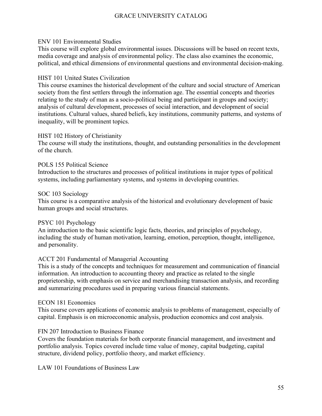### ENV 101 Environmental Studies

This course will explore global environmental issues. Discussions will be based on recent texts, media coverage and analysis of environmental policy. The class also examines the economic, political, and ethical dimensions of environmental questions and environmental decision-making.

### HIST 101 United States Civilization

This course examines the historical development of the culture and social structure of American society from the first settlers through the information age. The essential concepts and theories relating to the study of man as a socio-political being and participant in groups and society; analysis of cultural development, processes of social interaction, and development of social institutions. Cultural values, shared beliefs, key institutions, community patterns, and systems of inequality, will be prominent topics.

### HIST 102 History of Christianity

The course will study the institutions, thought, and outstanding personalities in the development of the church.

### POLS 155 Political Science

Introduction to the structures and processes of political institutions in major types of political systems, including parliamentary systems, and systems in developing countries.

### SOC 103 Sociology

This course is a comparative analysis of the historical and evolutionary development of basic human groups and social structures.

### PSYC 101 Psychology

An introduction to the basic scientific logic facts, theories, and principles of psychology, including the study of human motivation, learning, emotion, perception, thought, intelligence, and personality.

### ACCT 201 Fundamental of Managerial Accounting

This is a study of the concepts and techniques for measurement and communication of financial information. An introduction to accounting theory and practice as related to the single proprietorship, with emphasis on service and merchandising transaction analysis, and recording and summarizing procedures used in preparing various financial statements.

### ECON 181 Economics

This course covers applications of economic analysis to problems of management, especially of capital. Emphasis is on microeconomic analysis, production economics and cost analysis.

### FIN 207 Introduction to Business Finance

Covers the foundation materials for both corporate financial management, and investment and portfolio analysis. Topics covered include time value of money, capital budgeting, capital structure, dividend policy, portfolio theory, and market efficiency.

LAW 101 Foundations of Business Law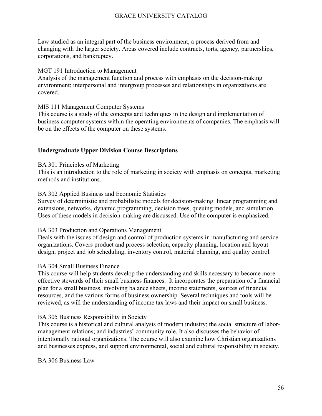Law studied as an integral part of the business environment, a process derived from and changing with the larger society. Areas covered include contracts, torts, agency, partnerships, corporations, and bankruptcy.

#### MGT 191 Introduction to Management

Analysis of the management function and process with emphasis on the decision-making environment; interpersonal and intergroup processes and relationships in organizations are covered.

### MIS 111 Management Computer Systems

This course is a study of the concepts and techniques in the design and implementation of business computer systems within the operating environments of companies. The emphasis will be on the effects of the computer on these systems.

### <span id="page-56-0"></span>**Undergraduate Upper Division Course Descriptions**

#### BA 301 Principles of Marketing

This is an introduction to the role of marketing in society with emphasis on concepts, marketing methods and institutions.

#### BA 302 Applied Business and Economic Statistics

Survey of deterministic and probabilistic models for decision-making: linear programming and extensions, networks, dynamic programming, decision trees, queuing models, and simulation. Uses of these models in decision-making are discussed. Use of the computer is emphasized.

### BA 303 Production and Operations Management

Deals with the issues of design and control of production systems in manufacturing and service organizations. Covers product and process selection, capacity planning, location and layout design, project and job scheduling, inventory control, material planning, and quality control.

### BA 304 Small Business Finance

This course will help students develop the understanding and skills necessary to become more effective stewards of their small business finances. It incorporates the preparation of a financial plan for a small business, involving balance sheets, income statements, sources of financial resources, and the various forms of business ownership. Several techniques and tools will be reviewed, as will the understanding of income tax laws and their impact on small business.

### BA 305 Business Responsibility in Society

This course is a historical and cultural analysis of modern industry; the social structure of labormanagement relations; and industries' community role. It also discusses the behavior of intentionally rational organizations. The course will also examine how Christian organizations and businesses express, and support environmental, social and cultural responsibility in society.

BA 306 Business Law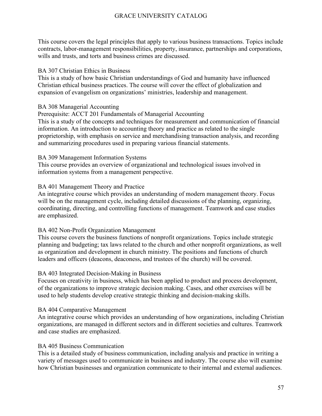This course covers the legal principles that apply to various business transactions. Topics include contracts, labor-management responsibilities, property, insurance, partnerships and corporations, wills and trusts, and torts and business crimes are discussed.

### BA 307 Christian Ethics in Business

This is a study of how basic Christian understandings of God and humanity have influenced Christian ethical business practices. The course will cover the effect of globalization and expansion of evangelism on organizations' ministries, leadership and management.

### BA 308 Managerial Accounting

Prerequisite: ACCT 201 Fundamentals of Managerial Accounting

This is a study of the concepts and techniques for measurement and communication of financial information. An introduction to accounting theory and practice as related to the single proprietorship, with emphasis on service and merchandising transaction analysis, and recording and summarizing procedures used in preparing various financial statements.

### BA 309 Management Information Systems

This course provides an overview of organizational and technological issues involved in information systems from a management perspective.

### BA 401 Management Theory and Practice

An integrative course which provides an understanding of modern management theory. Focus will be on the management cycle, including detailed discussions of the planning, organizing, coordinating, directing, and controlling functions of management. Teamwork and case studies are emphasized.

### BA 402 Non-Profit Organization Management

This course covers the business functions of nonprofit organizations. Topics include strategic planning and budgeting; tax laws related to the church and other nonprofit organizations, as well as organization and development in church ministry. The positions and functions of church leaders and officers (deacons, deaconess, and trustees of the church) will be covered.

### BA 403 Integrated Decision-Making in Business

Focuses on creativity in business, which has been applied to product and process development, of the organizations to improve strategic decision making. Cases, and other exercises will be used to help students develop creative strategic thinking and decision-making skills.

### BA 404 Comparative Management

An integrative course which provides an understanding of how organizations, including Christian organizations, are managed in different sectors and in different societies and cultures. Teamwork and case studies are emphasized.

### BA 405 Business Communication

This is a detailed study of business communication, including analysis and practice in writing a variety of messages used to communicate in business and industry. The course also will examine how Christian businesses and organization communicate to their internal and external audiences.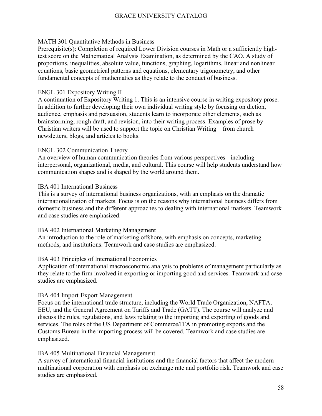### MATH 301 Quantitative Methods in Business

Prerequisite(s): Completion of required Lower Division courses in Math or a sufficiently hightest score on the Mathematical Analysis Examination, as determined by the CAO. A study of proportions, inequalities, absolute value, functions, graphing, logarithms, linear and nonlinear equations, basic geometrical patterns and equations, elementary trigonometry, and other fundamental concepts of mathematics as they relate to the conduct of business.

### ENGL 301 Expository Writing II

A continuation of Expository Writing 1. This is an intensive course in writing expository prose. In addition to further developing their own individual writing style by focusing on diction, audience, emphasis and persuasion, students learn to incorporate other elements, such as brainstorming, rough draft, and revision, into their writing process. Examples of prose by Christian writers will be used to support the topic on Christian Writing – from church newsletters, blogs, and articles to books.

### ENGL 302 Communication Theory

An overview of human communication theories from various perspectives - including interpersonal, organizational, media, and cultural. This course will help students understand how communication shapes and is shaped by the world around them.

### IBA 401 International Business

This is a survey of international business organizations, with an emphasis on the dramatic internationalization of markets. Focus is on the reasons why international business differs from domestic business and the different approaches to dealing with international markets. Teamwork and case studies are emphasized.

### IBA 402 International Marketing Management

An introduction to the role of marketing offshore, with emphasis on concepts, marketing methods, and institutions. Teamwork and case studies are emphasized.

### IBA 403 Principles of International Economics

Application of international macroeconomic analysis to problems of management particularly as they relate to the firm involved in exporting or importing good and services. Teamwork and case studies are emphasized.

### IBA 404 Import-Export Management

Focus on the international trade structure, including the World Trade Organization, NAFTA, EEU, and the General Agreement on Tariffs and Trade (GATT). The course will analyze and discuss the rules, regulations, and laws relating to the importing and exporting of goods and services. The roles of the US Department of Commerce/ITA in promoting exports and the Customs Bureau in the importing process will be covered. Teamwork and case studies are emphasized.

### IBA 405 Multinational Financial Management

A survey of international financial institutions and the financial factors that affect the modern multinational corporation with emphasis on exchange rate and portfolio risk. Teamwork and case studies are emphasized.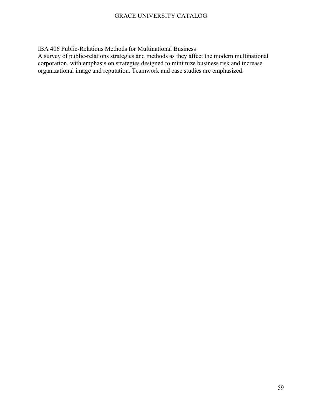IBA 406 Public-Relations Methods for Multinational Business

A survey of public-relations strategies and methods as they affect the modern multinational corporation, with emphasis on strategies designed to minimize business risk and increase organizational image and reputation. Teamwork and case studies are emphasized.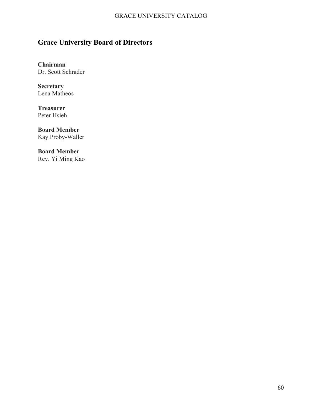# <span id="page-60-0"></span>**Grace University Board of Directors**

**Chairman** Dr. Scott Schrader

**Secretary** Lena Matheos

**Treasurer** Peter Hsieh

**Board Member** Kay Proby-Waller

**Board Member** Rev. Yi Ming Kao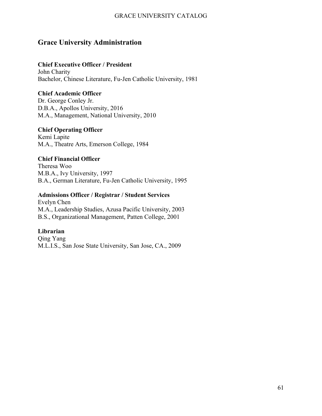### <span id="page-61-0"></span>**Grace University Administration**

### **Chief Executive Officer / President**

John Charity Bachelor, Chinese Literature, Fu-Jen Catholic University, 1981

### **Chief Academic Officer**

Dr. George Conley Jr. D.B.A., Apollos University, 2016 M.A., Management, National University, 2010

### **Chief Operating Officer**

Kemi Lapite M.A., Theatre Arts, Emerson College, 1984

### **Chief Financial Officer**

Theresa Woo M.B.A., Ivy University, 1997 B.A., German Literature, Fu-Jen Catholic University, 1995

### **Admissions Officer / Registrar / Student Services**

Evelyn Chen M.A., Leadership Studies, Azusa Pacific University, 2003 B.S., Organizational Management, Patten College, 2001

### **Librarian**

<span id="page-61-1"></span>Qing Yang M.L.I.S., San Jose State University, San Jose, CA., 2009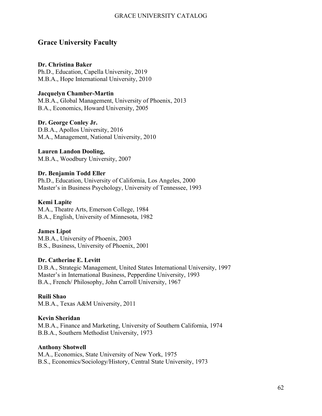### **Grace University Faculty**

### **Dr. Christina Baker**

Ph.D., Education, Capella University, 2019 M.B.A., Hope International University, 2010

### **Jacquelyn Chamber-Martin**

M.B.A., Global Management, University of Phoenix, 2013 B.A., Economics, Howard University, 2005

### **Dr. George Conley Jr.**

D.B.A., Apollos University, 2016 M.A., Management, National University, 2010

### **Lauren Landon Dooling,**

M.B.A., Woodbury University, 2007

### **Dr. Benjamin Todd Eller**

Ph.D., Education, University of California, Los Angeles, 2000 Master's in Business Psychology, University of Tennessee, 1993

### **Kemi Lapite**

M.A., Theatre Arts, Emerson College, 1984 B.A., English, University of Minnesota, 1982

### **James Lipot**

M.B.A., University of Phoenix, 2003 B.S., Business, University of Phoenix, 2001

### **Dr. Catherine E. Levitt**

D.B.A., Strategic Management, United States International University, 1997 Master's in International Business, Pepperdine University, 1993 B.A., French/ Philosophy, John Carroll University, 1967

### **Ruili Shao**

M.B.A., Texas A&M University, 2011

### **Kevin Sheridan**

M.B.A., Finance and Marketing, University of Southern California, 1974 B.B.A., Southern Methodist University, 1973

### **Anthony Shotwell**

M.A., Economics, State University of New York, 1975 B.S., Economics/Sociology/History, Central State University, 1973